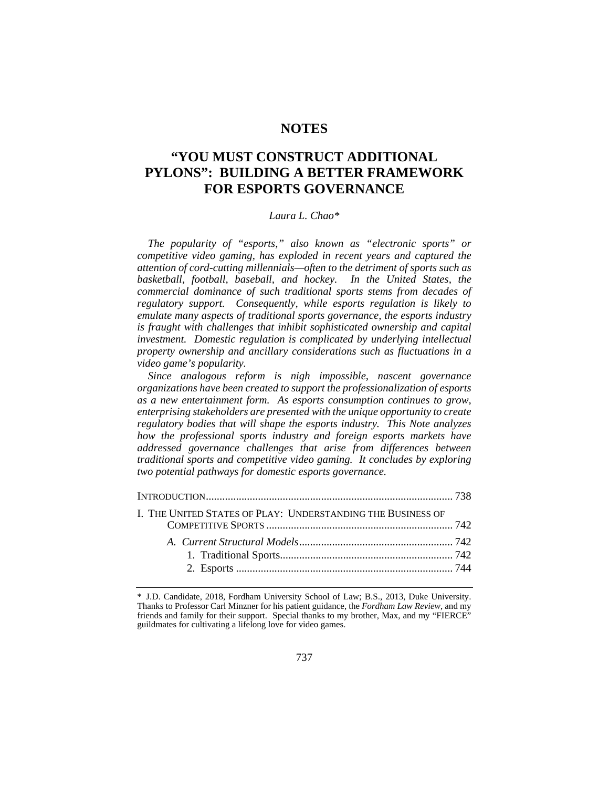## **NOTES**

# **"YOU MUST CONSTRUCT ADDITIONAL PYLONS": BUILDING A BETTER FRAMEWORK FOR ESPORTS GOVERNANCE**

## *Laura L. Chao\**

*The popularity of "esports," also known as "electronic sports" or competitive video gaming, has exploded in recent years and captured the attention of cord-cutting millennials—often to the detriment of sports such as basketball, football, baseball, and hockey. In the United States, the commercial dominance of such traditional sports stems from decades of regulatory support. Consequently, while esports regulation is likely to emulate many aspects of traditional sports governance, the esports industry is fraught with challenges that inhibit sophisticated ownership and capital investment. Domestic regulation is complicated by underlying intellectual property ownership and ancillary considerations such as fluctuations in a video game's popularity.* 

*Since analogous reform is nigh impossible, nascent governance organizations have been created to support the professionalization of esports as a new entertainment form. As esports consumption continues to grow, enterprising stakeholders are presented with the unique opportunity to create regulatory bodies that will shape the esports industry. This Note analyzes how the professional sports industry and foreign esports markets have addressed governance challenges that arise from differences between traditional sports and competitive video gaming. It concludes by exploring two potential pathways for domestic esports governance.* 

| I. THE UNITED STATES OF PLAY: UNDERSTANDING THE BUSINESS OF |  |
|-------------------------------------------------------------|--|
|                                                             |  |
|                                                             |  |
|                                                             |  |
|                                                             |  |
|                                                             |  |

<sup>\*</sup> J.D. Candidate, 2018, Fordham University School of Law; B.S., 2013, Duke University. Thanks to Professor Carl Minzner for his patient guidance, the *Fordham Law Review*, and my friends and family for their support. Special thanks to my brother, Max, and my "FIERCE" guildmates for cultivating a lifelong love for video games.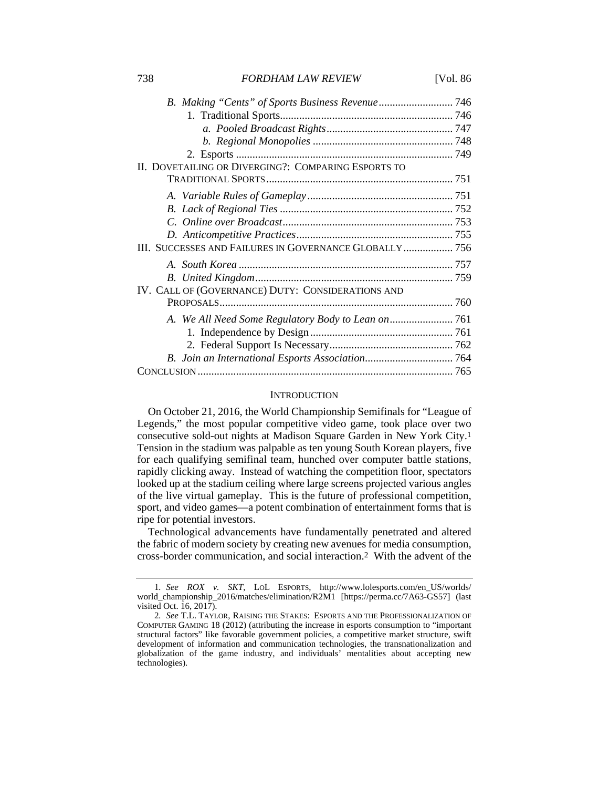738 *FORDHAM LAW REVIEW* [Vol. 86

| II. DOVETAILING OR DIVERGING?: COMPARING ESPORTS TO    |  |
|--------------------------------------------------------|--|
|                                                        |  |
|                                                        |  |
|                                                        |  |
|                                                        |  |
|                                                        |  |
| III. SUCCESSES AND FAILURES IN GOVERNANCE GLOBALLY 756 |  |
|                                                        |  |
|                                                        |  |
| IV. CALL OF (GOVERNANCE) DUTY: CONSIDERATIONS AND      |  |
|                                                        |  |
|                                                        |  |
|                                                        |  |
|                                                        |  |
|                                                        |  |
|                                                        |  |

#### **INTRODUCTION**

On October 21, 2016, the World Championship Semifinals for "League of Legends," the most popular competitive video game, took place over two consecutive sold-out nights at Madison Square Garden in New York City.1 Tension in the stadium was palpable as ten young South Korean players, five for each qualifying semifinal team, hunched over computer battle stations, rapidly clicking away. Instead of watching the competition floor, spectators looked up at the stadium ceiling where large screens projected various angles of the live virtual gameplay. This is the future of professional competition, sport, and video games—a potent combination of entertainment forms that is ripe for potential investors.

Technological advancements have fundamentally penetrated and altered the fabric of modern society by creating new avenues for media consumption, cross-border communication, and social interaction.2 With the advent of the

<sup>1</sup>*. See ROX v. SKT*, LOL ESPORTS, http://www.lolesports.com/en\_US/worlds/ world\_championship\_2016/matches/elimination/R2M1 [https://perma.cc/7A63-GS57] (last visited Oct. 16, 2017).

<sup>2</sup>*. See* T.L. TAYLOR, RAISING THE STAKES: ESPORTS AND THE PROFESSIONALIZATION OF COMPUTER GAMING 18 (2012) (attributing the increase in esports consumption to "important structural factors" like favorable government policies, a competitive market structure, swift development of information and communication technologies, the transnationalization and globalization of the game industry, and individuals' mentalities about accepting new technologies).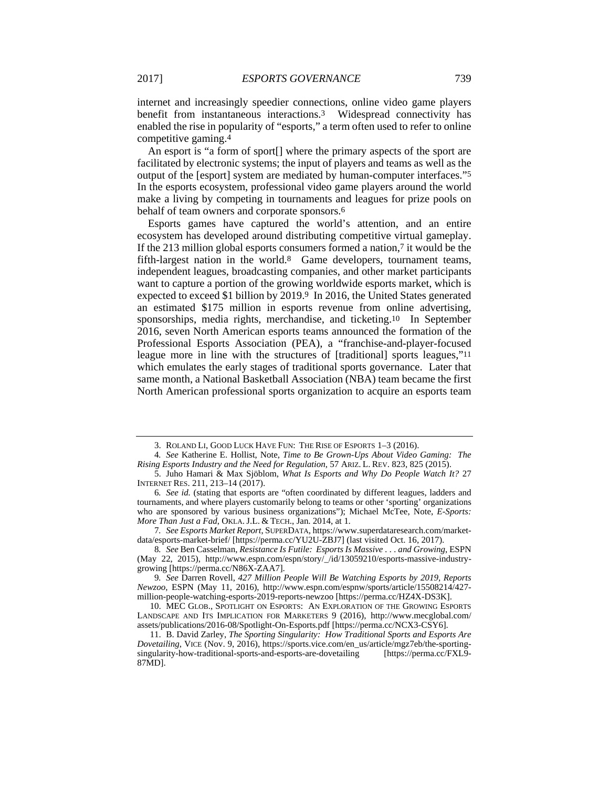internet and increasingly speedier connections, online video game players benefit from instantaneous interactions.3 Widespread connectivity has enabled the rise in popularity of "esports," a term often used to refer to online competitive gaming.4

An esport is "a form of sport[] where the primary aspects of the sport are facilitated by electronic systems; the input of players and teams as well as the output of the [esport] system are mediated by human-computer interfaces."5 In the esports ecosystem, professional video game players around the world make a living by competing in tournaments and leagues for prize pools on behalf of team owners and corporate sponsors.6

Esports games have captured the world's attention, and an entire ecosystem has developed around distributing competitive virtual gameplay. If the 213 million global esports consumers formed a nation,7 it would be the fifth-largest nation in the world.8 Game developers, tournament teams, independent leagues, broadcasting companies, and other market participants want to capture a portion of the growing worldwide esports market, which is expected to exceed \$1 billion by 2019.<sup>9</sup> In 2016, the United States generated an estimated \$175 million in esports revenue from online advertising, sponsorships, media rights, merchandise, and ticketing.10 In September 2016, seven North American esports teams announced the formation of the Professional Esports Association (PEA), a "franchise-and-player-focused league more in line with the structures of [traditional] sports leagues,"11 which emulates the early stages of traditional sports governance. Later that same month, a National Basketball Association (NBA) team became the first North American professional sports organization to acquire an esports team

 <sup>3.</sup> ROLAND LI, GOOD LUCK HAVE FUN: THE RISE OF ESPORTS 1–3 (2016).

<sup>4</sup>*. See* Katherine E. Hollist, Note, *Time to Be Grown-Ups About Video Gaming: The Rising Esports Industry and the Need for Regulation*, 57 ARIZ. L. REV. 823, 825 (2015).

 <sup>5.</sup> Juho Hamari & Max Sjöblom, *What Is Esports and Why Do People Watch It?* 27 INTERNET RES. 211, 213–14 (2017).

<sup>6</sup>*. See id.* (stating that esports are "often coordinated by different leagues, ladders and tournaments, and where players customarily belong to teams or other 'sporting' organizations who are sponsored by various business organizations"); Michael McTee, Note, *E-Sports: More Than Just a Fad*, OKLA. J.L. & TECH., Jan. 2014, at 1.

<sup>7</sup>*. See Esports Market Report*, SUPERDATA, https://www.superdataresearch.com/marketdata/esports-market-brief/ [https://perma.cc/YU2U-ZBJ7] (last visited Oct. 16, 2017).

<sup>8</sup>*. See* Ben Casselman, *Resistance Is Futile: Esports Is Massive . . . and Growing*, ESPN (May 22, 2015), http://www.espn.com/espn/story/\_/id/13059210/esports-massive-industrygrowing [https://perma.cc/N86X-ZAA7].

<sup>9</sup>*. See* Darren Rovell, *427 Million People Will Be Watching Esports by 2019, Reports Newzoo*, ESPN (May 11, 2016), http://www.espn.com/espnw/sports/article/15508214/427 million-people-watching-esports-2019-reports-newzoo [https://perma.cc/HZ4X-DS3K].

 <sup>10.</sup> MEC GLOB., SPOTLIGHT ON ESPORTS: AN EXPLORATION OF THE GROWING ESPORTS LANDSCAPE AND ITS IMPLICATION FOR MARKETERS 9 (2016), http://www.mecglobal.com/ assets/publications/2016-08/Spotlight-On-Esports.pdf [https://perma.cc/NCX3-CSY6].

 <sup>11.</sup> B. David Zarley, *The Sporting Singularity: How Traditional Sports and Esports Are Dovetailing*, VICE (Nov. 9, 2016), https://sports.vice.com/en\_us/article/mgz7eb/the-sportingsingularity-how-traditional-sports-and-esports-are-dovetailing [https://perma.cc/FXL9- 87MD].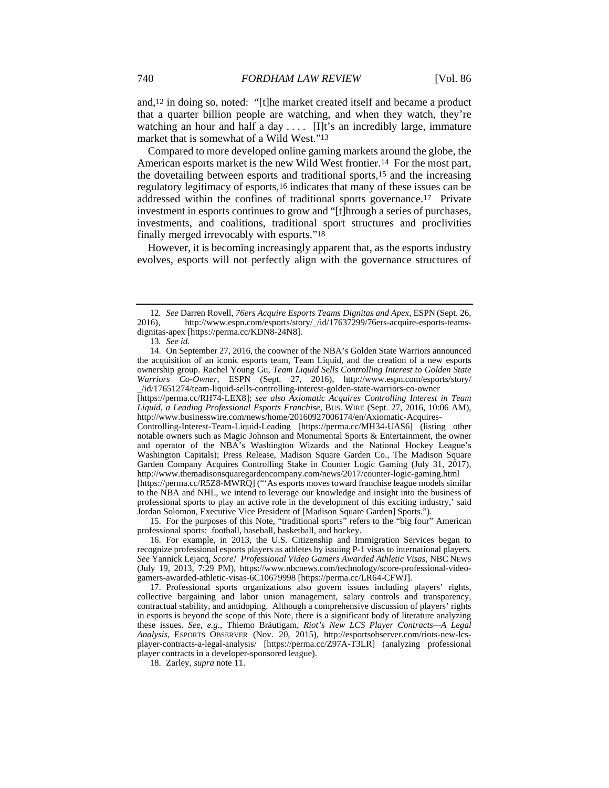and,12 in doing so, noted: "[t]he market created itself and became a product that a quarter billion people are watching, and when they watch, they're watching an hour and half a day  $\dots$  [I]t's an incredibly large, immature market that is somewhat of a Wild West."13

Compared to more developed online gaming markets around the globe, the American esports market is the new Wild West frontier.14 For the most part, the dovetailing between esports and traditional sports,15 and the increasing regulatory legitimacy of esports,16 indicates that many of these issues can be addressed within the confines of traditional sports governance.17 Private investment in esports continues to grow and "[t]hrough a series of purchases, investments, and coalitions, traditional sport structures and proclivities finally merged irrevocably with esports."18

However, it is becoming increasingly apparent that, as the esports industry evolves, esports will not perfectly align with the governance structures of

 15. For the purposes of this Note, "traditional sports" refers to the "big four" American professional sports: football, baseball, basketball, and hockey.

 17. Professional sports organizations also govern issues including players' rights, collective bargaining and labor union management, salary controls and transparency, contractual stability, and antidoping. Although a comprehensive discussion of players' rights in esports is beyond the scope of this Note, there is a significant body of literature analyzing these issues. *See, e.g.*, Thiemo Bräutigam, *Riot's New LCS Player Contracts—A Legal Analysis*, ESPORTS OBSERVER (Nov. 20, 2015), http://esportsobserver.com/riots-new-lcsplayer-contracts-a-legal-analysis/ [https://perma.cc/Z97A-T3LR] (analyzing professional player contracts in a developer-sponsored league).

18. Zarley, *supra* note 11.

<sup>12</sup>*. See* Darren Rovell, *76ers Acquire Esports Teams Dignitas and Apex*, ESPN (Sept. 26, 2016), http://www.espn.com/esports/story/\_/id/17637299/76ers-acquire-esports-teamsdignitas-apex [https://perma.cc/KDN8-24N8].

<sup>13</sup>*. See id.*

 <sup>14.</sup> On September 27, 2016, the coowner of the NBA's Golden State Warriors announced the acquisition of an iconic esports team, Team Liquid, and the creation of a new esports ownership group. Rachel Young Gu, *Team Liquid Sells Controlling Interest to Golden State Warriors Co-Owner*, ESPN (Sept. 27, 2016), http://www.espn.com/esports/story/ \_/id/17651274/team-liquid-sells-controlling-interest-golden-state-warriors-co-owner [https://perma.cc/RH74-LEX8]; *see also Axiomatic Acquires Controlling Interest in Team* 

*Liquid, a Leading Professional Esports Franchise*, BUS. WIRE (Sept. 27, 2016, 10:06 AM), http://www.businesswire.com/news/home/20160927006174/en/Axiomatic-Acquires-

Controlling-Interest-Team-Liquid-Leading [https://perma.cc/MH34-UAS6] (listing other notable owners such as Magic Johnson and Monumental Sports & Entertainment, the owner and operator of the NBA's Washington Wizards and the National Hockey League's Washington Capitals); Press Release, Madison Square Garden Co., The Madison Square Garden Company Acquires Controlling Stake in Counter Logic Gaming (July 31, 2017), http://www.themadisonsquaregardencompany.com/news/2017/counter-logic-gaming.html [https://perma.cc/R5Z8-MWRQ] ("'As esports moves toward franchise league models similar

to the NBA and NHL, we intend to leverage our knowledge and insight into the business of professional sports to play an active role in the development of this exciting industry,' said Jordan Solomon, Executive Vice President of [Madison Square Garden] Sports.").

 <sup>16.</sup> For example, in 2013, the U.S. Citizenship and Immigration Services began to recognize professional esports players as athletes by issuing P-1 visas to international players. *See* Yannick Lejacq, *Score! Professional Video Gamers Awarded Athletic Visas*, NBC NEWS (July 19, 2013, 7:29 PM), https://www.nbcnews.com/technology/score-professional-videogamers-awarded-athletic-visas-6C10679998 [https://perma.cc/LR64-CFWJ].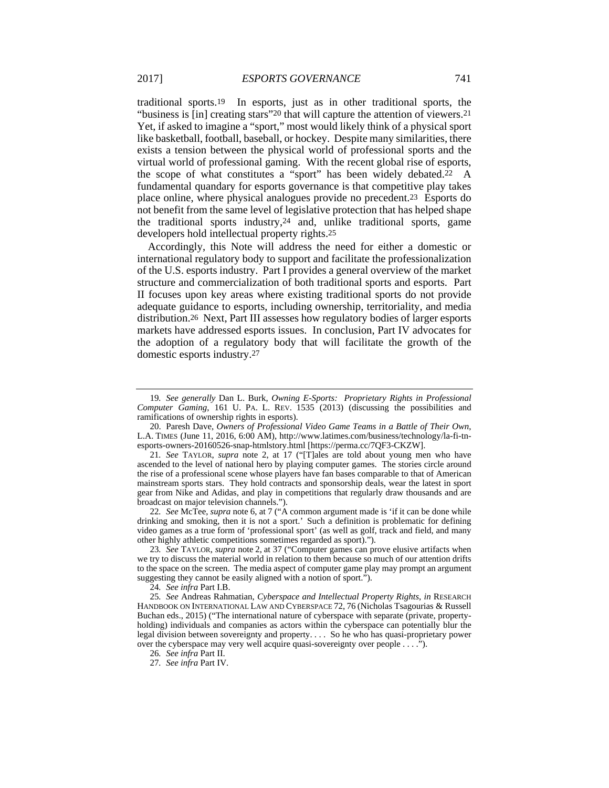traditional sports.19 In esports, just as in other traditional sports, the "business is [in] creating stars"20 that will capture the attention of viewers.21 Yet, if asked to imagine a "sport," most would likely think of a physical sport like basketball, football, baseball, or hockey. Despite many similarities, there exists a tension between the physical world of professional sports and the virtual world of professional gaming. With the recent global rise of esports, the scope of what constitutes a "sport" has been widely debated.22 A fundamental quandary for esports governance is that competitive play takes place online, where physical analogues provide no precedent.23 Esports do not benefit from the same level of legislative protection that has helped shape the traditional sports industry,24 and, unlike traditional sports, game developers hold intellectual property rights.25

Accordingly, this Note will address the need for either a domestic or international regulatory body to support and facilitate the professionalization of the U.S. esports industry. Part I provides a general overview of the market structure and commercialization of both traditional sports and esports. Part II focuses upon key areas where existing traditional sports do not provide adequate guidance to esports, including ownership, territoriality, and media distribution.26 Next, Part III assesses how regulatory bodies of larger esports markets have addressed esports issues. In conclusion, Part IV advocates for the adoption of a regulatory body that will facilitate the growth of the domestic esports industry.27

22*. See* McTee, *supra* note 6, at 7 ("A common argument made is 'if it can be done while drinking and smoking, then it is not a sport.' Such a definition is problematic for defining video games as a true form of 'professional sport' (as well as golf, track and field, and many other highly athletic competitions sometimes regarded as sport).").

23*. See* TAYLOR, *supra* note 2, at 37 ("Computer games can prove elusive artifacts when we try to discuss the material world in relation to them because so much of our attention drifts to the space on the screen. The media aspect of computer game play may prompt an argument suggesting they cannot be easily aligned with a notion of sport.").

24*. See infra* Part I.B.

25*. See* Andreas Rahmatian, *Cyberspace and Intellectual Property Rights*, *in* RESEARCH HANDBOOK ON INTERNATIONAL LAW AND CYBERSPACE 72, 76 (Nicholas Tsagourias & Russell Buchan eds., 2015) ("The international nature of cyberspace with separate (private, propertyholding) individuals and companies as actors within the cyberspace can potentially blur the legal division between sovereignty and property. . . . So he who has quasi-proprietary power over the cyberspace may very well acquire quasi-sovereignty over people . . . .").

26*. See infra* Part II.

27*. See infra* Part IV.

<sup>19</sup>*. See generally* Dan L. Burk, *Owning E-Sports: Proprietary Rights in Professional Computer Gaming*, 161 U. PA. L. REV. 1535 (2013) (discussing the possibilities and ramifications of ownership rights in esports).

 <sup>20.</sup> Paresh Dave, *Owners of Professional Video Game Teams in a Battle of Their Own*, L.A. TIMES (June 11, 2016, 6:00 AM), http://www.latimes.com/business/technology/la-fi-tnesports-owners-20160526-snap-htmlstory.html [https://perma.cc/7QF3-CKZW].

<sup>21</sup>*. See* TAYLOR, *supra* note 2, at 17 ("[T]ales are told about young men who have ascended to the level of national hero by playing computer games. The stories circle around the rise of a professional scene whose players have fan bases comparable to that of American mainstream sports stars. They hold contracts and sponsorship deals, wear the latest in sport gear from Nike and Adidas, and play in competitions that regularly draw thousands and are broadcast on major television channels.").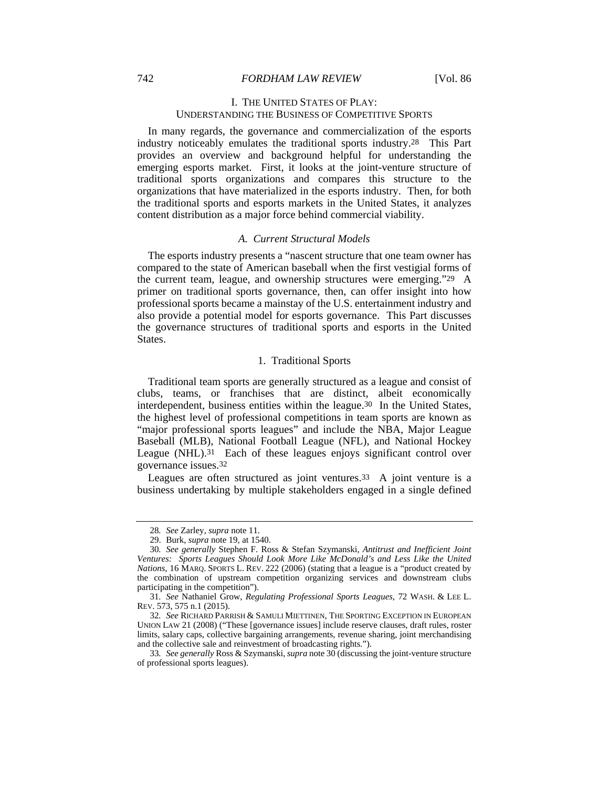## I. THE UNITED STATES OF PLAY: UNDERSTANDING THE BUSINESS OF COMPETITIVE SPORTS

In many regards, the governance and commercialization of the esports industry noticeably emulates the traditional sports industry.28 This Part provides an overview and background helpful for understanding the emerging esports market. First, it looks at the joint-venture structure of traditional sports organizations and compares this structure to the organizations that have materialized in the esports industry. Then, for both the traditional sports and esports markets in the United States, it analyzes content distribution as a major force behind commercial viability.

#### *A. Current Structural Models*

The esports industry presents a "nascent structure that one team owner has compared to the state of American baseball when the first vestigial forms of the current team, league, and ownership structures were emerging."29 A primer on traditional sports governance, then, can offer insight into how professional sports became a mainstay of the U.S. entertainment industry and also provide a potential model for esports governance. This Part discusses the governance structures of traditional sports and esports in the United States.

#### 1. Traditional Sports

Traditional team sports are generally structured as a league and consist of clubs, teams, or franchises that are distinct, albeit economically interdependent, business entities within the league.30 In the United States, the highest level of professional competitions in team sports are known as "major professional sports leagues" and include the NBA, Major League Baseball (MLB), National Football League (NFL), and National Hockey League (NHL).<sup>31</sup> Each of these leagues enjoys significant control over governance issues.32

Leagues are often structured as joint ventures.<sup>33</sup> A joint venture is a business undertaking by multiple stakeholders engaged in a single defined

<sup>28</sup>*. See* Zarley, *supra* note 11.

 <sup>29.</sup> Burk, *supra* note 19, at 1540.

<sup>30</sup>*. See generally* Stephen F. Ross & Stefan Szymanski, *Antitrust and Inefficient Joint Ventures: Sports Leagues Should Look More Like McDonald's and Less Like the United Nations*, 16 MARQ. SPORTS L. REV. 222 (2006) (stating that a league is a "product created by the combination of upstream competition organizing services and downstream clubs participating in the competition").

<sup>31</sup>*. See* Nathaniel Grow, *Regulating Professional Sports Leagues*, 72 WASH. & LEE L. REV. 573, 575 n.1 (2015).

<sup>32</sup>*. See* RICHARD PARRISH & SAMULI MIETTINEN, THE SPORTING EXCEPTION IN EUROPEAN UNION LAW 21 (2008) ("These [governance issues] include reserve clauses, draft rules, roster limits, salary caps, collective bargaining arrangements, revenue sharing, joint merchandising and the collective sale and reinvestment of broadcasting rights.").

<sup>33</sup>*. See generally* Ross & Szymanski, *supra* note 30 (discussing the joint-venture structure of professional sports leagues).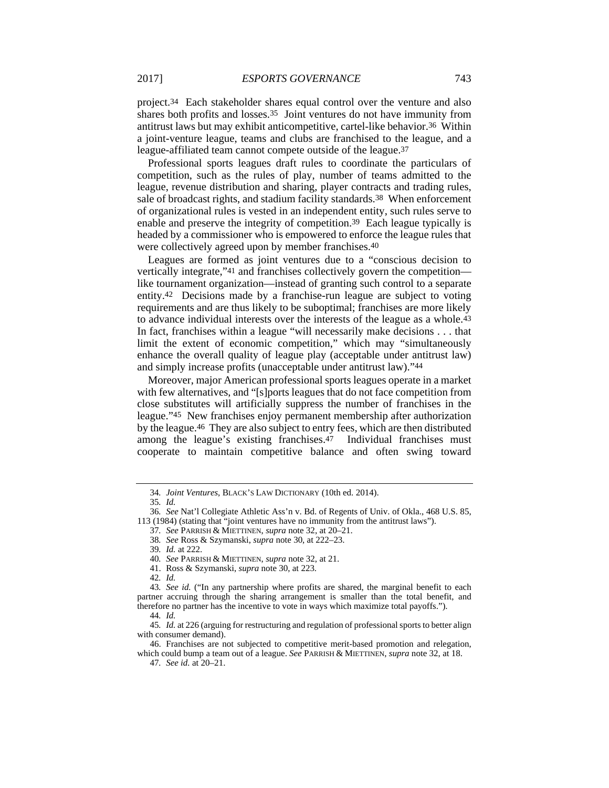project.34 Each stakeholder shares equal control over the venture and also shares both profits and losses.35 Joint ventures do not have immunity from antitrust laws but may exhibit anticompetitive, cartel-like behavior.36 Within a joint-venture league, teams and clubs are franchised to the league, and a league-affiliated team cannot compete outside of the league.37

Professional sports leagues draft rules to coordinate the particulars of competition, such as the rules of play, number of teams admitted to the league, revenue distribution and sharing, player contracts and trading rules, sale of broadcast rights, and stadium facility standards.38 When enforcement of organizational rules is vested in an independent entity, such rules serve to enable and preserve the integrity of competition.39 Each league typically is headed by a commissioner who is empowered to enforce the league rules that were collectively agreed upon by member franchises.40

Leagues are formed as joint ventures due to a "conscious decision to vertically integrate,"41 and franchises collectively govern the competition like tournament organization—instead of granting such control to a separate entity.42 Decisions made by a franchise-run league are subject to voting requirements and are thus likely to be suboptimal; franchises are more likely to advance individual interests over the interests of the league as a whole.43 In fact, franchises within a league "will necessarily make decisions . . . that limit the extent of economic competition," which may "simultaneously enhance the overall quality of league play (acceptable under antitrust law) and simply increase profits (unacceptable under antitrust law)."44

Moreover, major American professional sports leagues operate in a market with few alternatives, and "[s]ports leagues that do not face competition from close substitutes will artificially suppress the number of franchises in the league."45 New franchises enjoy permanent membership after authorization by the league.46 They are also subject to entry fees, which are then distributed among the league's existing franchises.47 Individual franchises must cooperate to maintain competitive balance and often swing toward

- 37*. See* PARRISH & MIETTINEN, *supra* note 32, at 20–21.
- 38*. See* Ross & Szymanski, *supra* note 30, at 222–23.

<sup>34</sup>*. Joint Ventures*, BLACK'S LAW DICTIONARY (10th ed. 2014).

<sup>35</sup>*. Id.*

<sup>36</sup>*. See* Nat'l Collegiate Athletic Ass'n v. Bd. of Regents of Univ. of Okla., 468 U.S. 85, 113 (1984) (stating that "joint ventures have no immunity from the antitrust laws").

<sup>39</sup>*. Id.* at 222.

<sup>40</sup>*. See* PARRISH & MIETTINEN, *supra* note 32, at 21.

 <sup>41.</sup> Ross & Szymanski, *supra* note 30, at 223.

<sup>42</sup>*. Id.*

<sup>43</sup>*. See id.* ("In any partnership where profits are shared, the marginal benefit to each partner accruing through the sharing arrangement is smaller than the total benefit, and therefore no partner has the incentive to vote in ways which maximize total payoffs.").

<sup>44</sup>*. Id.*

<sup>45</sup>*. Id.* at 226 (arguing for restructuring and regulation of professional sports to better align with consumer demand).

 <sup>46.</sup> Franchises are not subjected to competitive merit-based promotion and relegation, which could bump a team out of a league. *See* PARRISH & MIETTINEN, *supra* note 32, at 18.

<sup>47</sup>*. See id.* at 20–21.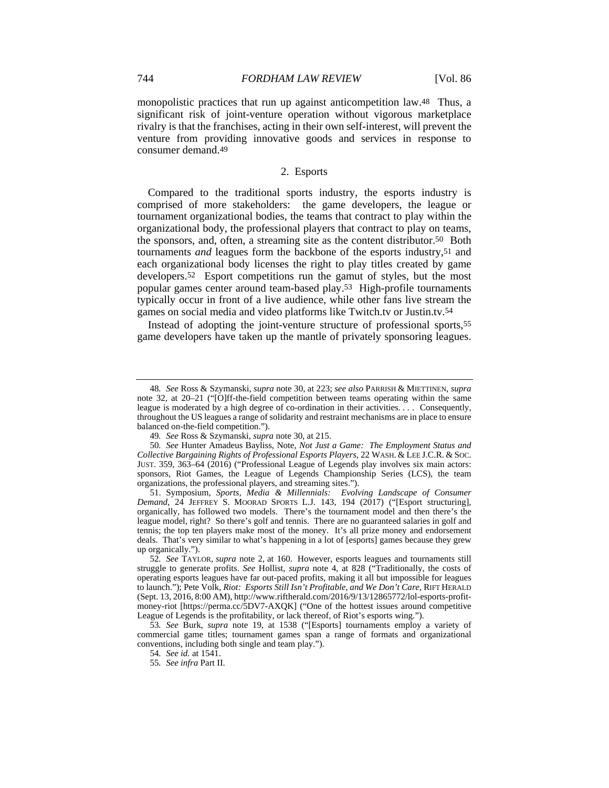monopolistic practices that run up against anticompetition law.48 Thus, a significant risk of joint-venture operation without vigorous marketplace rivalry is that the franchises, acting in their own self-interest, will prevent the venture from providing innovative goods and services in response to consumer demand.49

## 2. Esports

Compared to the traditional sports industry, the esports industry is comprised of more stakeholders: the game developers, the league or tournament organizational bodies, the teams that contract to play within the organizational body, the professional players that contract to play on teams, the sponsors, and, often, a streaming site as the content distributor.50 Both tournaments *and* leagues form the backbone of the esports industry,51 and each organizational body licenses the right to play titles created by game developers.52 Esport competitions run the gamut of styles, but the most popular games center around team-based play.53 High-profile tournaments typically occur in front of a live audience, while other fans live stream the games on social media and video platforms like Twitch.tv or Justin.tv.54

Instead of adopting the joint-venture structure of professional sports,55 game developers have taken up the mantle of privately sponsoring leagues.

<sup>48</sup>*. See* Ross & Szymanski, *supra* note 30, at 223; *see also* PARRISH & MIETTINEN, *supra* note 32, at 20–21 ("[O]ff-the-field competition between teams operating within the same league is moderated by a high degree of co-ordination in their activities. . . . Consequently, throughout the US leagues a range of solidarity and restraint mechanisms are in place to ensure balanced on-the-field competition.").

<sup>49</sup>*. See* Ross & Szymanski, *supra* note 30, at 215.

<sup>50</sup>*. See* Hunter Amadeus Bayliss, Note, *Not Just a Game: The Employment Status and Collective Bargaining Rights of Professional Esports Players*, 22 WASH. & LEE J.C.R. & SOC. JUST. 359, 363–64 (2016) ("Professional League of Legends play involves six main actors: sponsors, Riot Games, the League of Legends Championship Series (LCS), the team organizations, the professional players, and streaming sites.").

 <sup>51.</sup> Symposium, *Sports, Media & Millennials: Evolving Landscape of Consumer Demand*, 24 JEFFREY S. MOORAD SPORTS L.J. 143, 194 (2017) ("[Esport structuring], organically, has followed two models. There's the tournament model and then there's the league model, right? So there's golf and tennis. There are no guaranteed salaries in golf and tennis; the top ten players make most of the money. It's all prize money and endorsement deals. That's very similar to what's happening in a lot of [esports] games because they grew up organically.").

<sup>52</sup>*. See* TAYLOR, *supra* note 2, at 160. However, esports leagues and tournaments still struggle to generate profits. *See* Hollist, *supra* note 4, at 828 ("Traditionally, the costs of operating esports leagues have far out-paced profits, making it all but impossible for leagues to launch."); Pete Volk, *Riot: Esports Still Isn't Profitable, and We Don't Care*, RIFT HERALD (Sept. 13, 2016, 8:00 AM), http://www.riftherald.com/2016/9/13/12865772/lol-esports-profitmoney-riot [https://perma.cc/5DV7-AXQK] ("One of the hottest issues around competitive League of Legends is the profitability, or lack thereof, of Riot's esports wing.").

<sup>53</sup>*. See* Burk, *supra* note 19, at 1538 ("[Esports] tournaments employ a variety of commercial game titles; tournament games span a range of formats and organizational conventions, including both single and team play.").

<sup>54</sup>*. See id.* at 1541.

<sup>55</sup>*. See infra* Part II.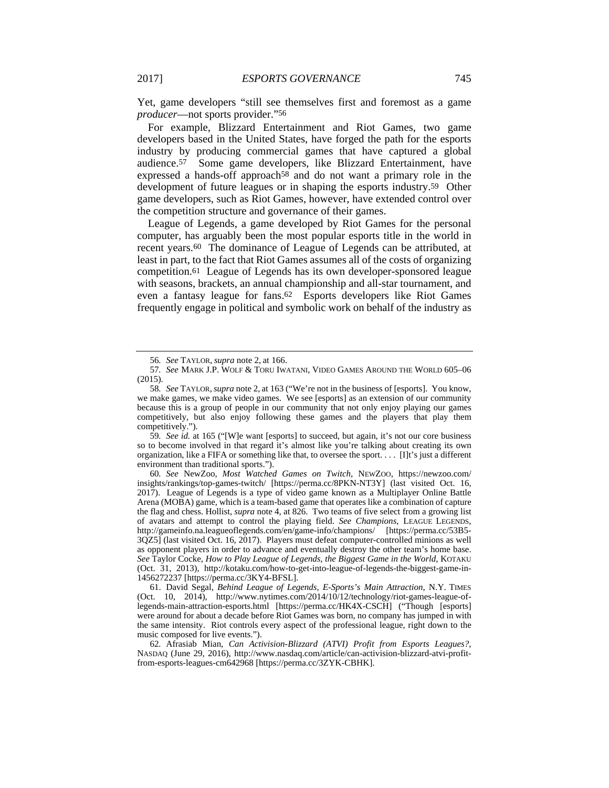Yet, game developers "still see themselves first and foremost as a game *producer*—not sports provider."56

For example, Blizzard Entertainment and Riot Games, two game developers based in the United States, have forged the path for the esports industry by producing commercial games that have captured a global audience.57 Some game developers, like Blizzard Entertainment, have expressed a hands-off approach<sup>58</sup> and do not want a primary role in the development of future leagues or in shaping the esports industry.59 Other game developers, such as Riot Games, however, have extended control over the competition structure and governance of their games.

League of Legends, a game developed by Riot Games for the personal computer, has arguably been the most popular esports title in the world in recent years.60 The dominance of League of Legends can be attributed, at least in part, to the fact that Riot Games assumes all of the costs of organizing competition.61 League of Legends has its own developer-sponsored league with seasons, brackets, an annual championship and all-star tournament, and even a fantasy league for fans.62 Esports developers like Riot Games frequently engage in political and symbolic work on behalf of the industry as

59*. See id.* at 165 ("[W]e want [esports] to succeed, but again, it's not our core business so to become involved in that regard it's almost like you're talking about creating its own organization, like a FIFA or something like that, to oversee the sport. . . . [I]t's just a different environment than traditional sports.").

60*. See* NewZoo, *Most Watched Games on Twitch*, NEWZOO, https://newzoo.com/ insights/rankings/top-games-twitch/ [https://perma.cc/8PKN-NT3Y] (last visited Oct. 16, 2017). League of Legends is a type of video game known as a Multiplayer Online Battle Arena (MOBA) game, which is a team-based game that operates like a combination of capture the flag and chess. Hollist, *supra* note 4, at 826. Two teams of five select from a growing list of avatars and attempt to control the playing field. *See Champions*, LEAGUE LEGENDS, http://gameinfo.na.leagueoflegends.com/en/game-info/champions/ [https://perma.cc/53B5- 3QZ5] (last visited Oct. 16, 2017). Players must defeat computer-controlled minions as well as opponent players in order to advance and eventually destroy the other team's home base. *See* Taylor Cocke, *How to Play League of Legends, the Biggest Game in the World*, KOTAKU (Oct. 31, 2013), http://kotaku.com/how-to-get-into-league-of-legends-the-biggest-game-in-1456272237 [https://perma.cc/3KY4-BFSL].

 61. David Segal, *Behind League of Legends, E-Sports's Main Attraction*, N.Y. TIMES (Oct. 10, 2014), http://www.nytimes.com/2014/10/12/technology/riot-games-league-oflegends-main-attraction-esports.html [https://perma.cc/HK4X-CSCH] ("Though [esports] were around for about a decade before Riot Games was born, no company has jumped in with the same intensity. Riot controls every aspect of the professional league, right down to the music composed for live events.").

62*.* Afrasiab Mian, *Can Activision-Blizzard (ATVI) Profit from Esports Leagues?*, NASDAQ (June 29, 2016), http://www.nasdaq.com/article/can-activision-blizzard-atvi-profitfrom-esports-leagues-cm642968 [https://perma.cc/3ZYK-CBHK].

<sup>56</sup>*. See* TAYLOR, *supra* note 2, at 166.

<sup>57</sup>*. See* MARK J.P. WOLF & TORU IWATANI, VIDEO GAMES AROUND THE WORLD 605–06 (2015).

<sup>58</sup>*. See* TAYLOR,*supra* note 2, at 163 ("We're not in the business of [esports]. You know, we make games, we make video games. We see [esports] as an extension of our community because this is a group of people in our community that not only enjoy playing our games competitively, but also enjoy following these games and the players that play them competitively.").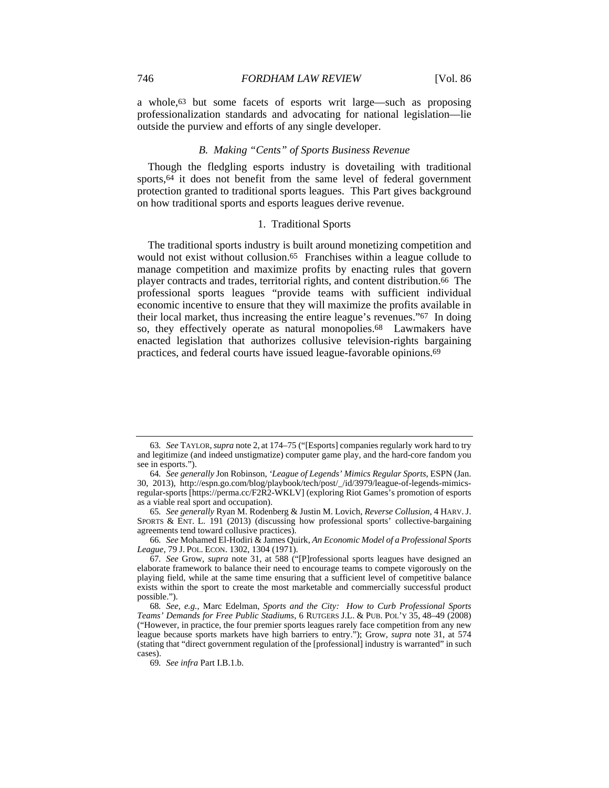a whole,63 but some facets of esports writ large—such as proposing professionalization standards and advocating for national legislation—lie outside the purview and efforts of any single developer.

#### *B. Making "Cents" of Sports Business Revenue*

Though the fledgling esports industry is dovetailing with traditional sports,64 it does not benefit from the same level of federal government protection granted to traditional sports leagues. This Part gives background on how traditional sports and esports leagues derive revenue.

#### 1. Traditional Sports

The traditional sports industry is built around monetizing competition and would not exist without collusion.65 Franchises within a league collude to manage competition and maximize profits by enacting rules that govern player contracts and trades, territorial rights, and content distribution.66 The professional sports leagues "provide teams with sufficient individual economic incentive to ensure that they will maximize the profits available in their local market, thus increasing the entire league's revenues."67 In doing so, they effectively operate as natural monopolies.68 Lawmakers have enacted legislation that authorizes collusive television-rights bargaining practices, and federal courts have issued league-favorable opinions.69

<sup>63</sup>*. See* TAYLOR,*supra* note 2, at 174–75 ("[Esports] companies regularly work hard to try and legitimize (and indeed unstigmatize) computer game play, and the hard-core fandom you see in esports.").

<sup>64</sup>*. See generally* Jon Robinson, *'League of Legends' Mimics Regular Sports*, ESPN (Jan. 30, 2013), http://espn.go.com/blog/playbook/tech/post/\_/id/3979/league-of-legends-mimicsregular-sports [https://perma.cc/F2R2-WKLV] (exploring Riot Games's promotion of esports as a viable real sport and occupation).

<sup>65</sup>*. See generally* Ryan M. Rodenberg & Justin M. Lovich, *Reverse Collusion*, 4 HARV.J. SPORTS & ENT. L. 191 (2013) (discussing how professional sports' collective-bargaining agreements tend toward collusive practices).

<sup>66</sup>*. See* Mohamed El-Hodiri & James Quirk, *An Economic Model of a Professional Sports League*, 79 J. POL. ECON. 1302, 1304 (1971).

<sup>67</sup>*. See* Grow, *supra* note 31, at 588 ("[P]rofessional sports leagues have designed an elaborate framework to balance their need to encourage teams to compete vigorously on the playing field, while at the same time ensuring that a sufficient level of competitive balance exists within the sport to create the most marketable and commercially successful product possible.").

<sup>68</sup>*. See, e.g.*, Marc Edelman, *Sports and the City: How to Curb Professional Sports Teams' Demands for Free Public Stadiums*, 6 RUTGERS J.L. & PUB. POL'Y 35, 48–49 (2008) ("However, in practice, the four premier sports leagues rarely face competition from any new league because sports markets have high barriers to entry."); Grow, *supra* note 31, at 574 (stating that "direct government regulation of the [professional] industry is warranted" in such cases).

<sup>69</sup>*. See infra* Part I.B.1.b.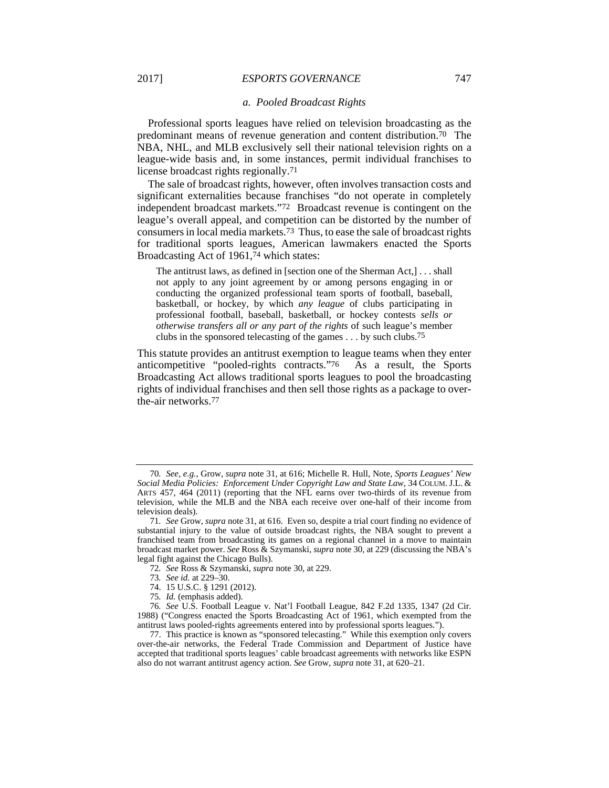#### *a. Pooled Broadcast Rights*

Professional sports leagues have relied on television broadcasting as the predominant means of revenue generation and content distribution.70 The NBA, NHL, and MLB exclusively sell their national television rights on a league-wide basis and, in some instances, permit individual franchises to license broadcast rights regionally.71

The sale of broadcast rights, however, often involves transaction costs and significant externalities because franchises "do not operate in completely independent broadcast markets."72 Broadcast revenue is contingent on the league's overall appeal, and competition can be distorted by the number of consumers in local media markets.73 Thus, to ease the sale of broadcast rights for traditional sports leagues, American lawmakers enacted the Sports Broadcasting Act of 1961,74 which states:

The antitrust laws, as defined in [section one of the Sherman Act,] . . . shall not apply to any joint agreement by or among persons engaging in or conducting the organized professional team sports of football, baseball, basketball, or hockey, by which *any league* of clubs participating in professional football, baseball, basketball, or hockey contests *sells or otherwise transfers all or any part of the rights* of such league's member clubs in the sponsored telecasting of the games . . . by such clubs.75

This statute provides an antitrust exemption to league teams when they enter anticompetitive "pooled-rights contracts."76 As a result, the Sports Broadcasting Act allows traditional sports leagues to pool the broadcasting rights of individual franchises and then sell those rights as a package to overthe-air networks.77

<sup>70</sup>*. See, e.g.*, Grow, *supra* note 31, at 616; Michelle R. Hull, Note, *Sports Leagues' New Social Media Policies: Enforcement Under Copyright Law and State Law*, 34 COLUM. J.L. & ARTS 457, 464 (2011) (reporting that the NFL earns over two-thirds of its revenue from television, while the MLB and the NBA each receive over one-half of their income from television deals).

<sup>71</sup>*. See* Grow, *supra* note 31, at 616. Even so, despite a trial court finding no evidence of substantial injury to the value of outside broadcast rights, the NBA sought to prevent a franchised team from broadcasting its games on a regional channel in a move to maintain broadcast market power. *See* Ross & Szymanski, *supra* note 30, at 229 (discussing the NBA's legal fight against the Chicago Bulls).

<sup>72</sup>*. See* Ross & Szymanski, *supra* note 30, at 229.

<sup>73</sup>*. See id.* at 229–30.

 <sup>74. 15</sup> U.S.C. § 1291 (2012).

<sup>75</sup>*. Id.* (emphasis added).

<sup>76</sup>*. See* U.S. Football League v. Nat'l Football League, 842 F.2d 1335, 1347 (2d Cir. 1988) ("Congress enacted the Sports Broadcasting Act of 1961, which exempted from the antitrust laws pooled-rights agreements entered into by professional sports leagues.").

 <sup>77.</sup> This practice is known as "sponsored telecasting." While this exemption only covers over-the-air networks, the Federal Trade Commission and Department of Justice have accepted that traditional sports leagues' cable broadcast agreements with networks like ESPN also do not warrant antitrust agency action. *See* Grow, *supra* note 31, at 620–21.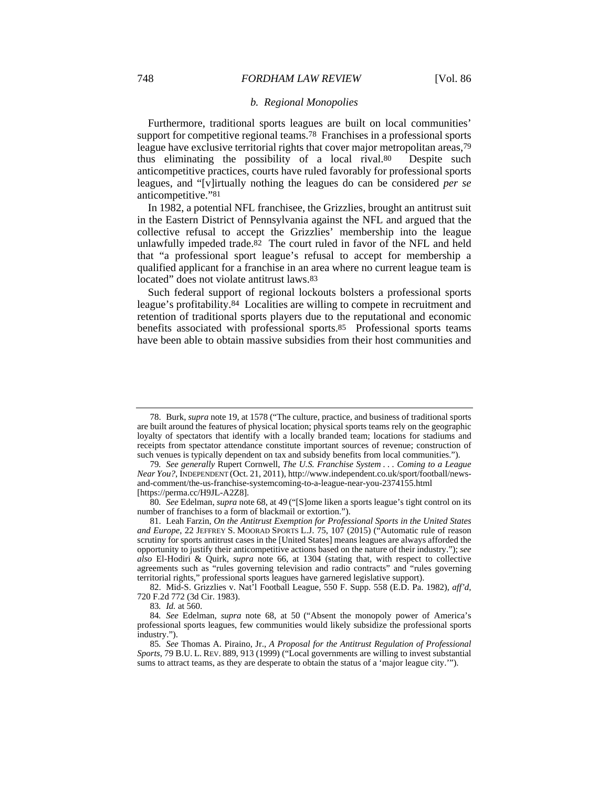#### *b. Regional Monopolies*

Furthermore, traditional sports leagues are built on local communities' support for competitive regional teams.78 Franchises in a professional sports league have exclusive territorial rights that cover major metropolitan areas,79 thus eliminating the possibility of a local rival.80 Despite such anticompetitive practices, courts have ruled favorably for professional sports leagues, and "[v]irtually nothing the leagues do can be considered *per se* anticompetitive."81

In 1982, a potential NFL franchisee, the Grizzlies, brought an antitrust suit in the Eastern District of Pennsylvania against the NFL and argued that the collective refusal to accept the Grizzlies' membership into the league unlawfully impeded trade.82 The court ruled in favor of the NFL and held that "a professional sport league's refusal to accept for membership a qualified applicant for a franchise in an area where no current league team is located" does not violate antitrust laws.83

Such federal support of regional lockouts bolsters a professional sports league's profitability.84 Localities are willing to compete in recruitment and retention of traditional sports players due to the reputational and economic benefits associated with professional sports.85 Professional sports teams have been able to obtain massive subsidies from their host communities and

 <sup>78.</sup> Burk, *supra* note 19, at 1578 ("The culture, practice, and business of traditional sports are built around the features of physical location; physical sports teams rely on the geographic loyalty of spectators that identify with a locally branded team; locations for stadiums and receipts from spectator attendance constitute important sources of revenue; construction of such venues is typically dependent on tax and subsidy benefits from local communities.").

<sup>79</sup>*. See generally* Rupert Cornwell, *The U.S. Franchise System . . . Coming to a League Near You?*, INDEPENDENT (Oct. 21, 2011), http://www.independent.co.uk/sport/football/newsand-comment/the-us-franchise-systemcoming-to-a-league-near-you-2374155.html [https://perma.cc/H9JL-A2Z8].

<sup>80</sup>*. See* Edelman, *supra* note 68, at 49 ("[S]ome liken a sports league's tight control on its number of franchises to a form of blackmail or extortion.").

 <sup>81.</sup> Leah Farzin, *On the Antitrust Exemption for Professional Sports in the United States and Europe*, 22 JEFFREY S. MOORAD SPORTS L.J. 75, 107 (2015) ("Automatic rule of reason scrutiny for sports antitrust cases in the [United States] means leagues are always afforded the opportunity to justify their anticompetitive actions based on the nature of their industry."); *see also* El-Hodiri & Quirk, *supra* note 66, at 1304 (stating that, with respect to collective agreements such as "rules governing television and radio contracts" and "rules governing territorial rights," professional sports leagues have garnered legislative support).

 <sup>82.</sup> Mid-S. Grizzlies v. Nat'l Football League, 550 F. Supp. 558 (E.D. Pa. 1982), *aff'd*, 720 F.2d 772 (3d Cir. 1983).

<sup>83</sup>*. Id.* at 560.

<sup>84</sup>*. See* Edelman, *supra* note 68, at 50 ("Absent the monopoly power of America's professional sports leagues, few communities would likely subsidize the professional sports industry.").

<sup>85</sup>*. See* Thomas A. Piraino, Jr., *A Proposal for the Antitrust Regulation of Professional Sports*, 79 B.U. L. REV. 889, 913 (1999) ("Local governments are willing to invest substantial sums to attract teams, as they are desperate to obtain the status of a 'major league city.'").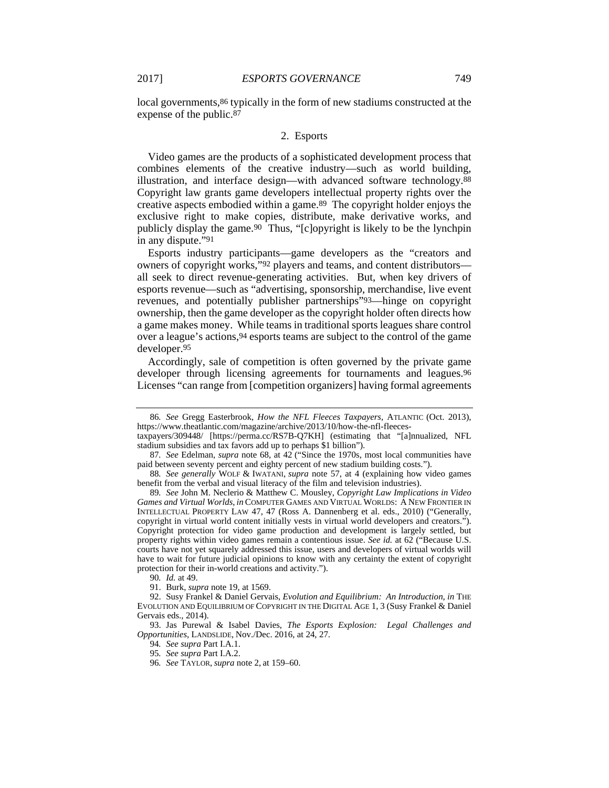local governments,  $86$  typically in the form of new stadiums constructed at the expense of the public.87

#### 2. Esports

Video games are the products of a sophisticated development process that combines elements of the creative industry—such as world building, illustration, and interface design—with advanced software technology.88 Copyright law grants game developers intellectual property rights over the creative aspects embodied within a game.89 The copyright holder enjoys the exclusive right to make copies, distribute, make derivative works, and publicly display the game.90 Thus, "[c]opyright is likely to be the lynchpin in any dispute."91

Esports industry participants—game developers as the "creators and owners of copyright works,"92 players and teams, and content distributors all seek to direct revenue-generating activities. But, when key drivers of esports revenue—such as "advertising, sponsorship, merchandise, live event revenues, and potentially publisher partnerships"93—hinge on copyright ownership, then the game developer as the copyright holder often directs how a game makes money. While teams in traditional sports leagues share control over a league's actions,94 esports teams are subject to the control of the game developer.95

Accordingly, sale of competition is often governed by the private game developer through licensing agreements for tournaments and leagues.<sup>96</sup> Licenses "can range from [competition organizers] having formal agreements

<sup>86</sup>*. See* Gregg Easterbrook, *How the NFL Fleeces Taxpayers*, ATLANTIC (Oct. 2013), https://www.theatlantic.com/magazine/archive/2013/10/how-the-nfl-fleecestaxpayers/309448/ [https://perma.cc/RS7B-Q7KH] (estimating that "[a]nnualized, NFL

stadium subsidies and tax favors add up to perhaps \$1 billion").

<sup>87</sup>*. See* Edelman, *supra* note 68, at 42 ("Since the 1970s, most local communities have paid between seventy percent and eighty percent of new stadium building costs.").

<sup>88</sup>*. See generally* WOLF & IWATANI, *supra* note 57, at 4 (explaining how video games benefit from the verbal and visual literacy of the film and television industries).

<sup>89</sup>*. See* John M. Neclerio & Matthew C. Mousley, *Copyright Law Implications in Video Games and Virtual Worlds*, *in* COMPUTER GAMES AND VIRTUAL WORLDS: A NEW FRONTIER IN INTELLECTUAL PROPERTY LAW 47, 47 (Ross A. Dannenberg et al. eds., 2010) ("Generally, copyright in virtual world content initially vests in virtual world developers and creators."). Copyright protection for video game production and development is largely settled, but property rights within video games remain a contentious issue. *See id.* at 62 ("Because U.S. courts have not yet squarely addressed this issue, users and developers of virtual worlds will have to wait for future judicial opinions to know with any certainty the extent of copyright protection for their in-world creations and activity.").

<sup>90</sup>*. Id.* at 49.

 <sup>91.</sup> Burk, *supra* note 19, at 1569.

 <sup>92.</sup> Susy Frankel & Daniel Gervais, *Evolution and Equilibrium: An Introduction*, *in* THE EVOLUTION AND EQUILIBRIUM OF COPYRIGHT IN THE DIGITAL AGE 1, 3 (Susy Frankel & Daniel Gervais eds., 2014).

 <sup>93.</sup> Jas Purewal & Isabel Davies, *The Esports Explosion: Legal Challenges and Opportunities*, LANDSLIDE, Nov./Dec. 2016, at 24, 27.

<sup>94</sup>*. See supra* Part I.A.1.

<sup>95</sup>*. See supra* Part I.A.2.

<sup>96</sup>*. See* TAYLOR, *supra* note 2, at 159–60.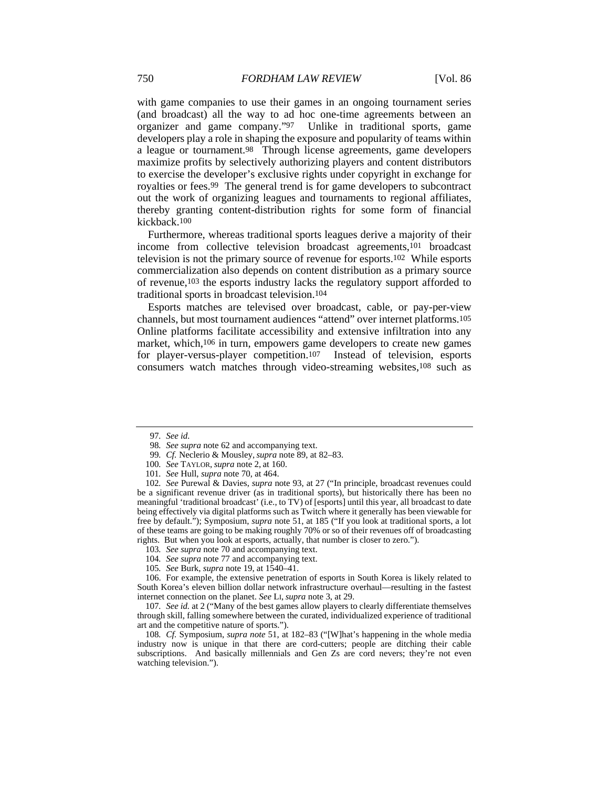with game companies to use their games in an ongoing tournament series (and broadcast) all the way to ad hoc one-time agreements between an organizer and game company."97 Unlike in traditional sports, game developers play a role in shaping the exposure and popularity of teams within a league or tournament.98 Through license agreements, game developers maximize profits by selectively authorizing players and content distributors to exercise the developer's exclusive rights under copyright in exchange for royalties or fees.99 The general trend is for game developers to subcontract out the work of organizing leagues and tournaments to regional affiliates, thereby granting content-distribution rights for some form of financial kickback.100

Furthermore, whereas traditional sports leagues derive a majority of their income from collective television broadcast agreements,101 broadcast television is not the primary source of revenue for esports.102 While esports commercialization also depends on content distribution as a primary source of revenue,103 the esports industry lacks the regulatory support afforded to traditional sports in broadcast television.104

Esports matches are televised over broadcast, cable, or pay-per-view channels, but most tournament audiences "attend" over internet platforms.105 Online platforms facilitate accessibility and extensive infiltration into any market, which,<sup>106</sup> in turn, empowers game developers to create new games for player-versus-player competition.107 Instead of television, esports consumers watch matches through video-streaming websites,108 such as

101*. See* Hull, *supra* note 70, at 464.

102*. See* Purewal & Davies, *supra* note 93, at 27 ("In principle, broadcast revenues could be a significant revenue driver (as in traditional sports), but historically there has been no meaningful 'traditional broadcast' (i.e., to TV) of [esports] until this year, all broadcast to date being effectively via digital platforms such as Twitch where it generally has been viewable for free by default."); Symposium, *supra* note 51, at 185 ("If you look at traditional sports, a lot of these teams are going to be making roughly 70% or so of their revenues off of broadcasting rights. But when you look at esports, actually, that number is closer to zero.").

- 103*. See supra* note 70 and accompanying text.
- 104*. See supra* note 77 and accompanying text.
- 105*. See* Burk, *supra* note 19, at 1540–41.

 106. For example, the extensive penetration of esports in South Korea is likely related to South Korea's eleven billion dollar network infrastructure overhaul—resulting in the fastest internet connection on the planet. *See* LI, *supra* note 3, at 29.

107*. See id.* at 2 ("Many of the best games allow players to clearly differentiate themselves through skill, falling somewhere between the curated, individualized experience of traditional art and the competitive nature of sports.").

108*. Cf.* Symposium, *supra note* 51, at 182–83 ("[W]hat's happening in the whole media industry now is unique in that there are cord-cutters; people are ditching their cable subscriptions. And basically millennials and Gen Zs are cord nevers; they're not even watching television.").

<sup>97</sup>*. See id.*

<sup>98</sup>*. See supra* note 62 and accompanying text.

<sup>99</sup>*. Cf.* Neclerio & Mousley,*supra* note 89, at 82–83.

<sup>100</sup>*. See* TAYLOR, *supra* note 2, at 160.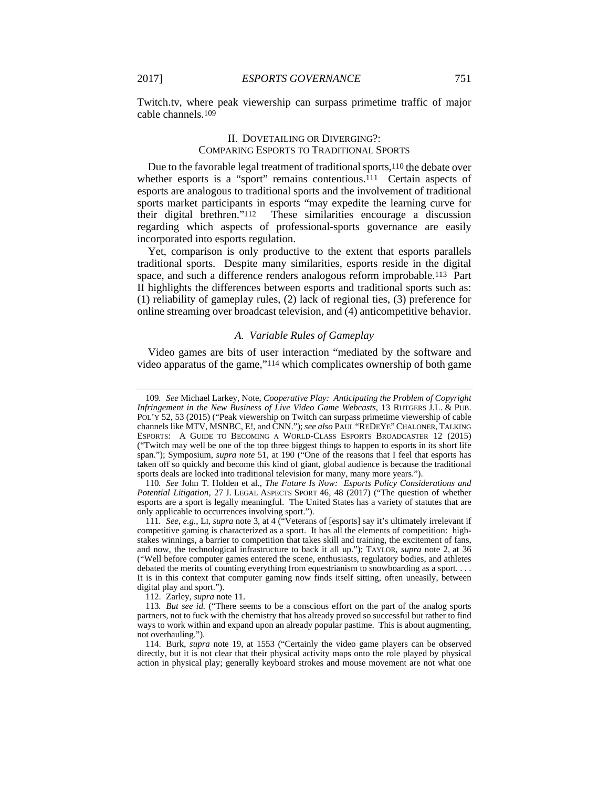Twitch.tv, where peak viewership can surpass primetime traffic of major cable channels.109

#### II. DOVETAILING OR DIVERGING?: COMPARING ESPORTS TO TRADITIONAL SPORTS

Due to the favorable legal treatment of traditional sports,<sup>110</sup> the debate over whether esports is a "sport" remains contentious.<sup>111</sup> Certain aspects of esports are analogous to traditional sports and the involvement of traditional sports market participants in esports "may expedite the learning curve for their digital brethren."112 These similarities encourage a discussion regarding which aspects of professional-sports governance are easily incorporated into esports regulation.

Yet, comparison is only productive to the extent that esports parallels traditional sports. Despite many similarities, esports reside in the digital space, and such a difference renders analogous reform improbable.113 Part II highlights the differences between esports and traditional sports such as: (1) reliability of gameplay rules, (2) lack of regional ties, (3) preference for online streaming over broadcast television, and (4) anticompetitive behavior.

#### *A. Variable Rules of Gameplay*

Video games are bits of user interaction "mediated by the software and video apparatus of the game,"114 which complicates ownership of both game

110*. See* John T. Holden et al., *The Future Is Now: Esports Policy Considerations and Potential Litigation*, 27 J. LEGAL ASPECTS SPORT 46, 48 (2017) ("The question of whether esports are a sport is legally meaningful. The United States has a variety of statutes that are only applicable to occurrences involving sport.").

112. Zarley, *supra* note 11.

<sup>109</sup>*. See* Michael Larkey, Note, *Cooperative Play: Anticipating the Problem of Copyright Infringement in the New Business of Live Video Game Webcasts*, 13 RUTGERS J.L. & PUB. POL'Y 52, 53 (2015) ("Peak viewership on Twitch can surpass primetime viewership of cable channels like MTV, MSNBC, E!, and CNN."); *see also* PAUL "REDEYE"CHALONER, TALKING ESPORTS: A GUIDE TO BECOMING A WORLD-CLASS ESPORTS BROADCASTER 12 (2015) ("Twitch may well be one of the top three biggest things to happen to esports in its short life span."); Symposium, *supra note* 51, at 190 ("One of the reasons that I feel that esports has taken off so quickly and become this kind of giant, global audience is because the traditional sports deals are locked into traditional television for many, many more years.").

<sup>111</sup>*. See, e.g.*, LI, *supra* note 3, at 4 ("Veterans of [esports] say it's ultimately irrelevant if competitive gaming is characterized as a sport. It has all the elements of competition: highstakes winnings, a barrier to competition that takes skill and training, the excitement of fans, and now, the technological infrastructure to back it all up."); TAYLOR, *supra* note 2, at 36 ("Well before computer games entered the scene, enthusiasts, regulatory bodies, and athletes debated the merits of counting everything from equestrianism to snowboarding as a sport. . . . It is in this context that computer gaming now finds itself sitting, often uneasily, between digital play and sport.").

<sup>113</sup>*. But see id.* ("There seems to be a conscious effort on the part of the analog sports partners, not to fuck with the chemistry that has already proved so successful but rather to find ways to work within and expand upon an already popular pastime. This is about augmenting, not overhauling.").

 <sup>114.</sup> Burk, *supra* note 19, at 1553 ("Certainly the video game players can be observed directly, but it is not clear that their physical activity maps onto the role played by physical action in physical play; generally keyboard strokes and mouse movement are not what one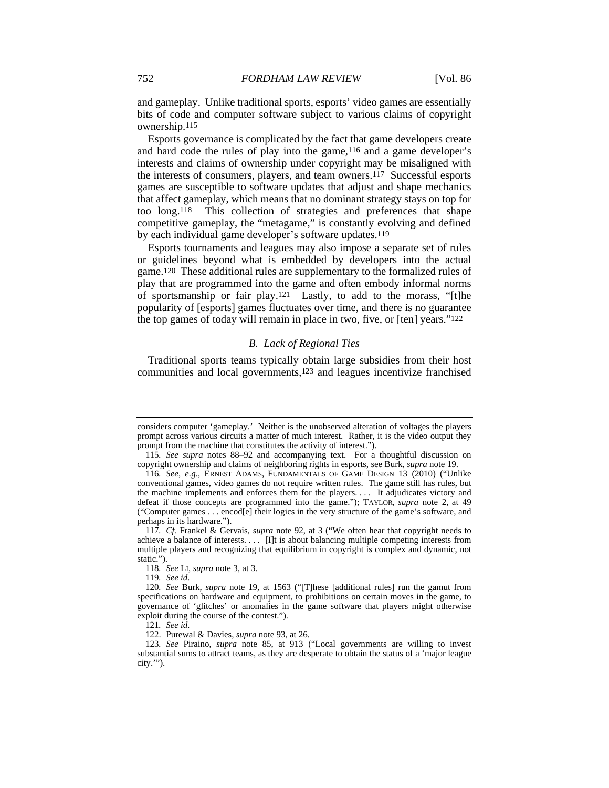and gameplay. Unlike traditional sports, esports' video games are essentially bits of code and computer software subject to various claims of copyright ownership.115

Esports governance is complicated by the fact that game developers create and hard code the rules of play into the game,116 and a game developer's interests and claims of ownership under copyright may be misaligned with the interests of consumers, players, and team owners.117 Successful esports games are susceptible to software updates that adjust and shape mechanics that affect gameplay, which means that no dominant strategy stays on top for too long.118 This collection of strategies and preferences that shape competitive gameplay, the "metagame," is constantly evolving and defined by each individual game developer's software updates.119

Esports tournaments and leagues may also impose a separate set of rules or guidelines beyond what is embedded by developers into the actual game.120 These additional rules are supplementary to the formalized rules of play that are programmed into the game and often embody informal norms of sportsmanship or fair play.121 Lastly, to add to the morass, "[t]he popularity of [esports] games fluctuates over time, and there is no guarantee the top games of today will remain in place in two, five, or [ten] years."122

#### *B. Lack of Regional Ties*

Traditional sports teams typically obtain large subsidies from their host communities and local governments,123 and leagues incentivize franchised

119*. See id.*

considers computer 'gameplay.' Neither is the unobserved alteration of voltages the players prompt across various circuits a matter of much interest. Rather, it is the video output they prompt from the machine that constitutes the activity of interest.").

<sup>115</sup>*. See supra* notes 88–92 and accompanying text. For a thoughtful discussion on copyright ownership and claims of neighboring rights in esports, see Burk, *supra* note 19.

<sup>116</sup>*. See, e.g.*, ERNEST ADAMS, FUNDAMENTALS OF GAME DESIGN 13 (2010) ("Unlike conventional games, video games do not require written rules. The game still has rules, but the machine implements and enforces them for the players. . . . It adjudicates victory and defeat if those concepts are programmed into the game."); TAYLOR, *supra* note 2, at 49 ("Computer games . . . encod[e] their logics in the very structure of the game's software, and perhaps in its hardware.").

<sup>117</sup>*. Cf.* Frankel & Gervais, *supra* note 92, at 3 ("We often hear that copyright needs to achieve a balance of interests. . . . [I]t is about balancing multiple competing interests from multiple players and recognizing that equilibrium in copyright is complex and dynamic, not static.").

<sup>118</sup>*. See* LI, *supra* note 3, at 3.

<sup>120</sup>*. See* Burk, *supra* note 19, at 1563 ("[T]hese [additional rules] run the gamut from specifications on hardware and equipment, to prohibitions on certain moves in the game, to governance of 'glitches' or anomalies in the game software that players might otherwise exploit during the course of the contest.").

<sup>121</sup>*. See id.*

 <sup>122.</sup> Purewal & Davies, *supra* note 93, at 26.

<sup>123</sup>*. See* Piraino, *supra* note 85, at 913 ("Local governments are willing to invest substantial sums to attract teams, as they are desperate to obtain the status of a 'major league city.'").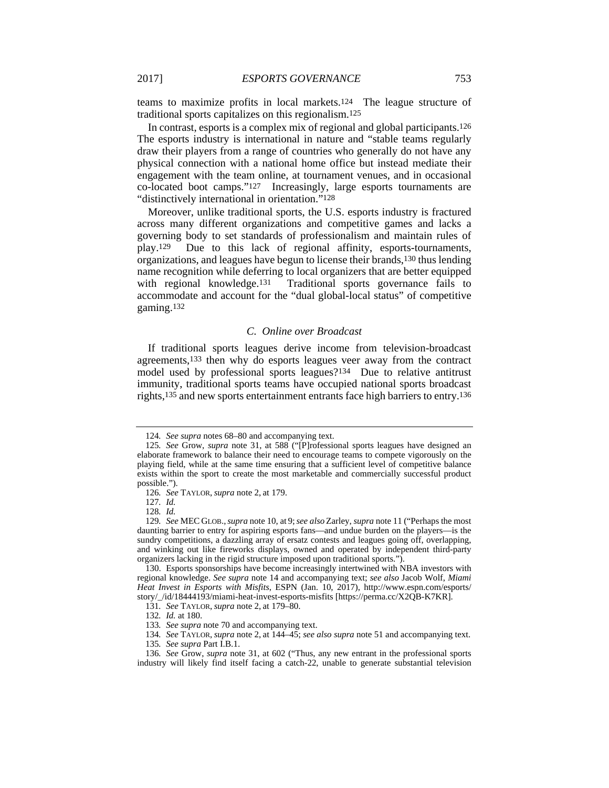teams to maximize profits in local markets.124 The league structure of traditional sports capitalizes on this regionalism.125

In contrast, esports is a complex mix of regional and global participants.126 The esports industry is international in nature and "stable teams regularly draw their players from a range of countries who generally do not have any physical connection with a national home office but instead mediate their engagement with the team online, at tournament venues, and in occasional co-located boot camps."127 Increasingly, large esports tournaments are "distinctively international in orientation."128

Moreover, unlike traditional sports, the U.S. esports industry is fractured across many different organizations and competitive games and lacks a governing body to set standards of professionalism and maintain rules of play.129 Due to this lack of regional affinity, esports-tournaments, organizations, and leagues have begun to license their brands,130 thus lending name recognition while deferring to local organizers that are better equipped with regional knowledge.<sup>131</sup> Traditional sports governance fails to accommodate and account for the "dual global-local status" of competitive gaming.132

## *C. Online over Broadcast*

If traditional sports leagues derive income from television-broadcast agreements,133 then why do esports leagues veer away from the contract model used by professional sports leagues?134 Due to relative antitrust immunity, traditional sports teams have occupied national sports broadcast rights,135 and new sports entertainment entrants face high barriers to entry.136

<sup>124</sup>*. See supra* notes 68–80 and accompanying text.

<sup>125</sup>*. See* Grow, *supra* note 31, at 588 ("[P]rofessional sports leagues have designed an elaborate framework to balance their need to encourage teams to compete vigorously on the playing field, while at the same time ensuring that a sufficient level of competitive balance exists within the sport to create the most marketable and commercially successful product possible.").

<sup>126</sup>*. See* TAYLOR, *supra* note 2, at 179.

<sup>127</sup>*. Id.*

<sup>128</sup>*. Id.*

<sup>129</sup>*. See* MEC GLOB.,*supra* note 10, at 9;*see also* Zarley, *supra* note 11 ("Perhaps the most daunting barrier to entry for aspiring esports fans—and undue burden on the players—is the sundry competitions, a dazzling array of ersatz contests and leagues going off, overlapping, and winking out like fireworks displays, owned and operated by independent third-party organizers lacking in the rigid structure imposed upon traditional sports.").

 <sup>130.</sup> Esports sponsorships have become increasingly intertwined with NBA investors with regional knowledge. *See supra* note 14 and accompanying text; *see also* Jacob Wolf, *Miami Heat Invest in Esports with Misfits*, ESPN (Jan. 10, 2017), http://www.espn.com/esports/ story/\_/id/18444193/miami-heat-invest-esports-misfits [https://perma.cc/X2QB-K7KR].

<sup>131</sup>*. See* TAYLOR, *supra* note 2, at 179–80.

<sup>132</sup>*. Id.* at 180.

<sup>133</sup>*. See supra* note 70 and accompanying text.

<sup>134</sup>*. See* TAYLOR, *supra* note 2, at 144–45; *see also supra* note 51 and accompanying text.

<sup>135</sup>*. See supra* Part I.B.1.

<sup>136</sup>*. See* Grow, *supra* note 31, at 602 ("Thus, any new entrant in the professional sports industry will likely find itself facing a catch-22, unable to generate substantial television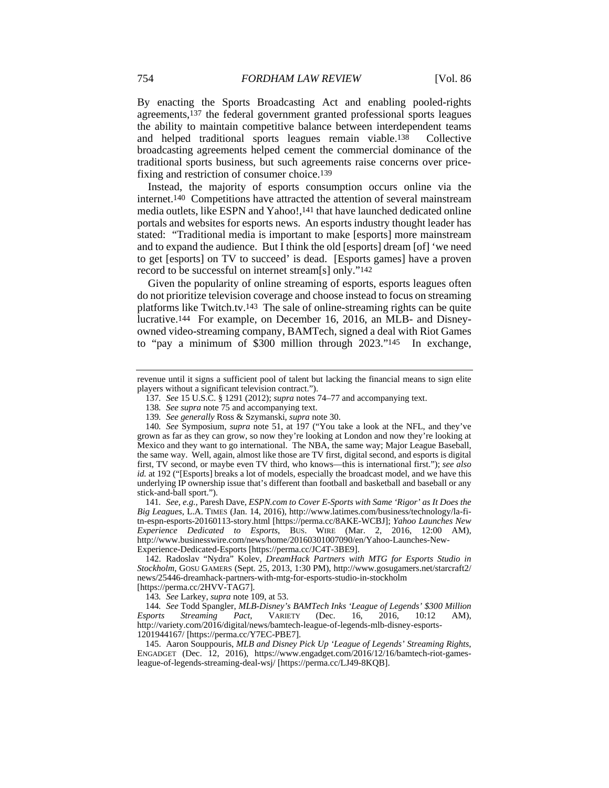By enacting the Sports Broadcasting Act and enabling pooled-rights agreements,137 the federal government granted professional sports leagues the ability to maintain competitive balance between interdependent teams and helped traditional sports leagues remain viable.138 Collective broadcasting agreements helped cement the commercial dominance of the traditional sports business, but such agreements raise concerns over pricefixing and restriction of consumer choice.139

Instead, the majority of esports consumption occurs online via the internet.140 Competitions have attracted the attention of several mainstream media outlets, like ESPN and Yahoo!,141 that have launched dedicated online portals and websites for esports news. An esports industry thought leader has stated: "Traditional media is important to make [esports] more mainstream and to expand the audience. But I think the old [esports] dream [of] 'we need to get [esports] on TV to succeed' is dead. [Esports games] have a proven record to be successful on internet stream[s] only."142

Given the popularity of online streaming of esports, esports leagues often do not prioritize television coverage and choose instead to focus on streaming platforms like Twitch.tv.143 The sale of online-streaming rights can be quite lucrative.144 For example, on December 16, 2016, an MLB- and Disneyowned video-streaming company, BAMTech, signed a deal with Riot Games to "pay a minimum of \$300 million through 2023."145 In exchange,

141*. See, e.g.*, Paresh Dave, *ESPN.com to Cover E-Sports with Same 'Rigor' as It Does the Big Leagues*, L.A. TIMES (Jan. 14, 2016), http://www.latimes.com/business/technology/la-fitn-espn-esports-20160113-story.html [https://perma.cc/8AKE-WCBJ]; *Yahoo Launches New Experience Dedicated to Esports*, BUS. WIRE (Mar. 2, 2016, 12:00 AM), http://www.businesswire.com/news/home/20160301007090/en/Yahoo-Launches-New-Experience-Dedicated-Esports [https://perma.cc/JC4T-3BE9].

 142. Radoslav "Nydra" Kolev, *DreamHack Partners with MTG for Esports Studio in Stockholm*, GOSU GAMERS (Sept. 25, 2013, 1:30 PM), http://www.gosugamers.net/starcraft2/ news/25446-dreamhack-partners-with-mtg-for-esports-studio-in-stockholm [https://perma.cc/2HVV-TAG7].

143*. See* Larkey, *supra* note 109, at 53.

 145. Aaron Souppouris, *MLB and Disney Pick Up 'League of Legends' Streaming Rights*, ENGADGET (Dec. 12, 2016), https://www.engadget.com/2016/12/16/bamtech-riot-gamesleague-of-legends-streaming-deal-wsj/ [https://perma.cc/LJ49-8KQB].

revenue until it signs a sufficient pool of talent but lacking the financial means to sign elite players without a significant television contract.").

<sup>137</sup>*. See* 15 U.S.C. § 1291 (2012); *supra* notes 74–77 and accompanying text.

<sup>138</sup>*. See supra* note 75 and accompanying text.

<sup>139</sup>*. See generally* Ross & Szymanski, *supra* note 30.

<sup>140</sup>*. See* Symposium, *supra* note 51, at 197 ("You take a look at the NFL, and they've grown as far as they can grow, so now they're looking at London and now they're looking at Mexico and they want to go international. The NBA, the same way; Major League Baseball, the same way. Well, again, almost like those are TV first, digital second, and esports is digital first, TV second, or maybe even TV third, who knows—this is international first."); *see also id.* at 192 ("[Esports] breaks a lot of models, especially the broadcast model, and we have this underlying IP ownership issue that's different than football and basketball and baseball or any stick-and-ball sport.").

<sup>144</sup>*. See* Todd Spangler, *MLB-Disney's BAMTech Inks 'League of Legends' \$300 Million Esports Streaming Pact*, VARIETY (Dec. 16, 2016, 10:12 AM), http://variety.com/2016/digital/news/bamtech-league-of-legends-mlb-disney-esports-1201944167/ [https://perma.cc/Y7EC-PBE7].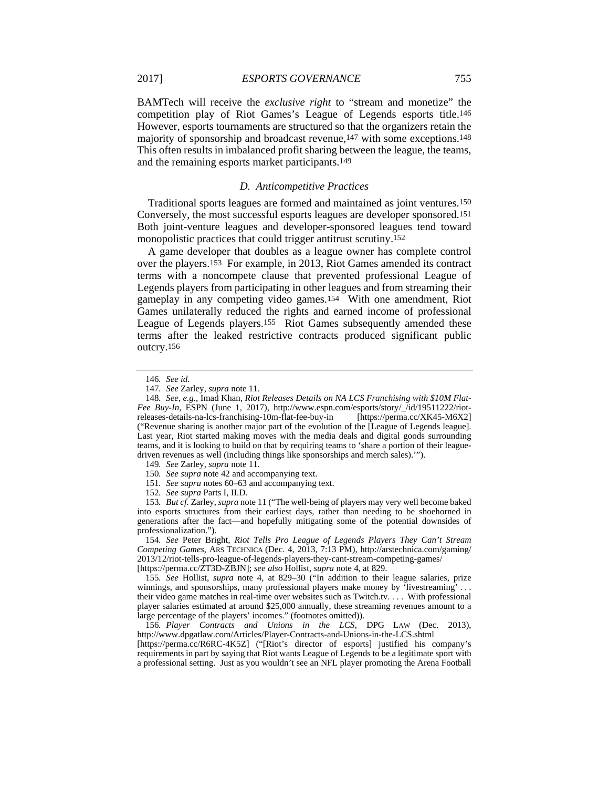BAMTech will receive the *exclusive right* to "stream and monetize" the competition play of Riot Games's League of Legends esports title.146 However, esports tournaments are structured so that the organizers retain the majority of sponsorship and broadcast revenue,147 with some exceptions.148 This often results in imbalanced profit sharing between the league, the teams, and the remaining esports market participants.149

#### *D. Anticompetitive Practices*

Traditional sports leagues are formed and maintained as joint ventures.150 Conversely, the most successful esports leagues are developer sponsored.151 Both joint-venture leagues and developer-sponsored leagues tend toward monopolistic practices that could trigger antitrust scrutiny.152

A game developer that doubles as a league owner has complete control over the players.153 For example, in 2013, Riot Games amended its contract terms with a noncompete clause that prevented professional League of Legends players from participating in other leagues and from streaming their gameplay in any competing video games.154 With one amendment, Riot Games unilaterally reduced the rights and earned income of professional League of Legends players.155 Riot Games subsequently amended these terms after the leaked restrictive contracts produced significant public outcry.156

150*. See supra* note 42 and accompanying text.

153*. But cf.* Zarley, *supra* note 11 ("The well-being of players may very well become baked into esports structures from their earliest days, rather than needing to be shoehorned in generations after the fact—and hopefully mitigating some of the potential downsides of professionalization.").

154*. See* Peter Bright, *Riot Tells Pro League of Legends Players They Can't Stream Competing Games*, ARS TECHNICA (Dec. 4, 2013, 7:13 PM), http://arstechnica.com/gaming/ 2013/12/riot-tells-pro-league-of-legends-players-they-cant-stream-competing-games/ [https://perma.cc/ZT3D-ZBJN]; *see also* Hollist, *supra* note 4, at 829.

155*. See* Hollist, *supra* note 4, at 829–30 ("In addition to their league salaries, prize winnings, and sponsorships, many professional players make money by 'livestreaming' . . . their video game matches in real-time over websites such as Twitch.tv. . . . With professional player salaries estimated at around \$25,000 annually, these streaming revenues amount to a large percentage of the players' incomes." (footnotes omitted)).

156*. Player Contracts and Unions in the LCS*, DPG LAW (Dec. 2013), http://www.dpgatlaw.com/Articles/Player-Contracts-and-Unions-in-the-LCS.shtml

[https://perma.cc/R6RC-4K5Z] ("[Riot's director of esports] justified his company's requirements in part by saying that Riot wants League of Legends to be a legitimate sport with a professional setting. Just as you wouldn't see an NFL player promoting the Arena Football

<sup>146</sup>*. See id.*

<sup>147</sup>*. See* Zarley, *supra* note 11.

<sup>148</sup>*. See, e.g.*, Imad Khan, *Riot Releases Details on NA LCS Franchising with \$10M Flat-Fee Buy-In*, ESPN (June 1, 2017), http://www.espn.com/esports/story/\_/id/19511222/riotreleases-details-na-lcs-franchising-10m-flat-fee-buy-in [https://perma.cc/XK45-M6X2] ("Revenue sharing is another major part of the evolution of the [League of Legends league]. Last year, Riot started making moves with the media deals and digital goods surrounding teams, and it is looking to build on that by requiring teams to 'share a portion of their leaguedriven revenues as well (including things like sponsorships and merch sales).'").

<sup>149</sup>*. See* Zarley, *supra* note 11.

<sup>151</sup>*. See supra* notes 60–63 and accompanying text.

<sup>152</sup>*. See supra* Parts I, II.D.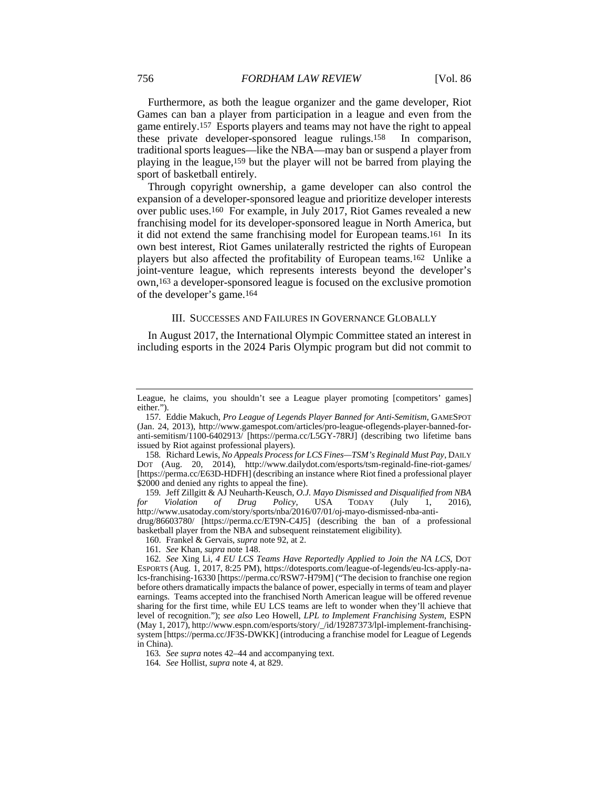Furthermore, as both the league organizer and the game developer, Riot Games can ban a player from participation in a league and even from the game entirely.157 Esports players and teams may not have the right to appeal these private developer-sponsored league rulings.158 In comparison, traditional sports leagues—like the NBA—may ban or suspend a player from playing in the league,159 but the player will not be barred from playing the sport of basketball entirely.

Through copyright ownership, a game developer can also control the expansion of a developer-sponsored league and prioritize developer interests over public uses.160 For example, in July 2017, Riot Games revealed a new franchising model for its developer-sponsored league in North America, but it did not extend the same franchising model for European teams.161 In its own best interest, Riot Games unilaterally restricted the rights of European players but also affected the profitability of European teams.162 Unlike a joint-venture league, which represents interests beyond the developer's own,163 a developer-sponsored league is focused on the exclusive promotion of the developer's game.164

#### III. SUCCESSES AND FAILURES IN GOVERNANCE GLOBALLY

In August 2017, the International Olympic Committee stated an interest in including esports in the 2024 Paris Olympic program but did not commit to

159*.* Jeff Zillgitt & AJ Neuharth-Keusch, *O.J. Mayo Dismissed and Disqualified from NBA for Violation of Drug Policy*, USA TODAY (July 1, 2016), http://www.usatoday.com/story/sports/nba/2016/07/01/oj-mayo-dismissed-nba-antidrug/86603780/ [https://perma.cc/ET9N-C4J5] (describing the ban of a professional

basketball player from the NBA and subsequent reinstatement eligibility).

160. Frankel & Gervais, *supra* note 92, at 2.

161*. See* Khan, *supra* note 148.

162*. See* Xing Li, *4 EU LCS Teams Have Reportedly Applied to Join the NA LCS*, DOT ESPORTS (Aug. 1, 2017, 8:25 PM), https://dotesports.com/league-of-legends/eu-lcs-apply-nalcs-franchising-16330 [https://perma.cc/RSW7-H79M] ("The decision to franchise one region before others dramatically impacts the balance of power, especially in terms of team and player earnings. Teams accepted into the franchised North American league will be offered revenue sharing for the first time, while EU LCS teams are left to wonder when they'll achieve that level of recognition."); *see also* Leo Howell, *LPL to Implement Franchising System*, ESPN (May 1, 2017), http://www.espn.com/esports/story/\_/id/19287373/lpl-implement-franchisingsystem [https://perma.cc/JF3S-DWKK] (introducing a franchise model for League of Legends in China).

163*. See supra* notes 42–44 and accompanying text.

164*. See* Hollist, *supra* note 4, at 829.

League, he claims, you shouldn't see a League player promoting [competitors' games] either.").

<sup>157</sup>*.* Eddie Makuch, *Pro League of Legends Player Banned for Anti-Semitism*, GAMESPOT (Jan. 24, 2013), http://www.gamespot.com/articles/pro-league-oflegends-player-banned-foranti-semitism/1100-6402913/ [https://perma.cc/L5GY-78RJ] (describing two lifetime bans issued by Riot against professional players).

<sup>158</sup>*.* Richard Lewis, *No Appeals Process for LCS Fines—TSM's Reginald Must Pay*, DAILY DOT (Aug. 20, 2014), http://www.dailydot.com/esports/tsm-reginald-fine-riot-games/ [https://perma.cc/E63D-HDFH] (describing an instance where Riot fined a professional player \$2000 and denied any rights to appeal the fine).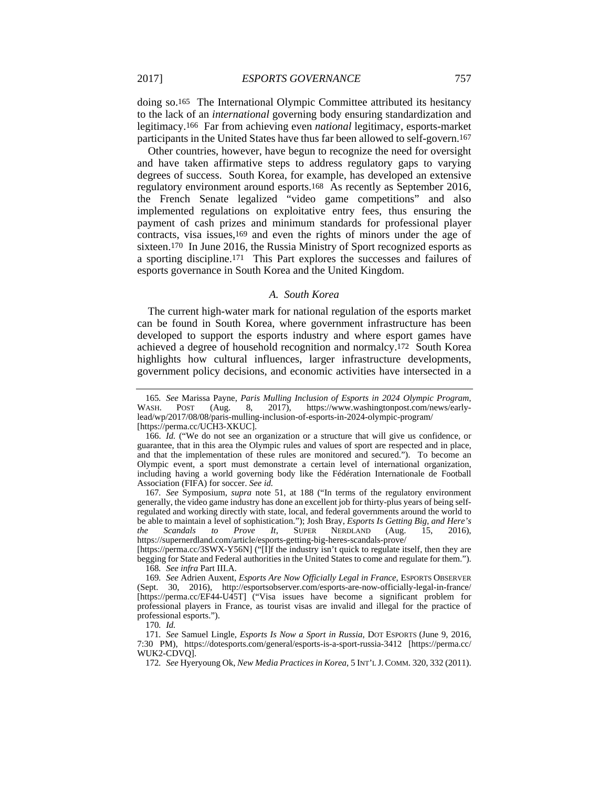doing so.165 The International Olympic Committee attributed its hesitancy to the lack of an *international* governing body ensuring standardization and legitimacy.166 Far from achieving even *national* legitimacy, esports-market participants in the United States have thus far been allowed to self-govern.167

Other countries, however, have begun to recognize the need for oversight and have taken affirmative steps to address regulatory gaps to varying degrees of success. South Korea, for example, has developed an extensive regulatory environment around esports.168 As recently as September 2016, the French Senate legalized "video game competitions" and also implemented regulations on exploitative entry fees, thus ensuring the payment of cash prizes and minimum standards for professional player contracts, visa issues,169 and even the rights of minors under the age of sixteen.170 In June 2016, the Russia Ministry of Sport recognized esports as a sporting discipline.171 This Part explores the successes and failures of esports governance in South Korea and the United Kingdom.

#### *A. South Korea*

The current high-water mark for national regulation of the esports market can be found in South Korea, where government infrastructure has been developed to support the esports industry and where esport games have achieved a degree of household recognition and normalcy.172 South Korea highlights how cultural influences, larger infrastructure developments, government policy decisions, and economic activities have intersected in a

[https://perma.cc/3SWX-Y56N] ("[I]f the industry isn't quick to regulate itself, then they are begging for State and Federal authorities in the United States to come and regulate for them."). 168*. See infra* Part III.A.

170*. Id.*

<sup>165</sup>*. See* Marissa Payne, *Paris Mulling Inclusion of Esports in 2024 Olympic Program*, WASH. POST (Aug. 8, 2017), https://www.washingtonpost.com/news/earlylead/wp/2017/08/08/paris-mulling-inclusion-of-esports-in-2024-olympic-program/ [https://perma.cc/UCH3-XKUC].

 <sup>166.</sup> *Id.* ("We do not see an organization or a structure that will give us confidence, or guarantee, that in this area the Olympic rules and values of sport are respected and in place, and that the implementation of these rules are monitored and secured."). To become an Olympic event, a sport must demonstrate a certain level of international organization, including having a world governing body like the Fédération Internationale de Football Association (FIFA) for soccer. *See id.*

<sup>167</sup>*. See* Symposium, *supra* note 51, at 188 ("In terms of the regulatory environment generally, the video game industry has done an excellent job for thirty-plus years of being selfregulated and working directly with state, local, and federal governments around the world to be able to maintain a level of sophistication."); Josh Bray, *Esports Is Getting Big, and Here's the Scandals to Prove It*, SUPER NERDLAND (Aug. 15, 2016), https://supernerdland.com/article/esports-getting-big-heres-scandals-prove/

<sup>169</sup>*. See* Adrien Auxent, *Esports Are Now Officially Legal in France*, ESPORTS OBSERVER (Sept. 30, 2016), http://esportsobserver.com/esports-are-now-officially-legal-in-france/ [https://perma.cc/EF44-U45T] ("Visa issues have become a significant problem for professional players in France, as tourist visas are invalid and illegal for the practice of professional esports.").

<sup>171</sup>*. See* Samuel Lingle, *Esports Is Now a Sport in Russia*, DOT ESPORTS (June 9, 2016, 7:30 PM), https://dotesports.com/general/esports-is-a-sport-russia-3412 [https://perma.cc/ WUK2-CDVQ].

<sup>172</sup>*. See* Hyeryoung Ok, *New Media Practices in Korea*, 5 INT'L J.COMM. 320, 332 (2011).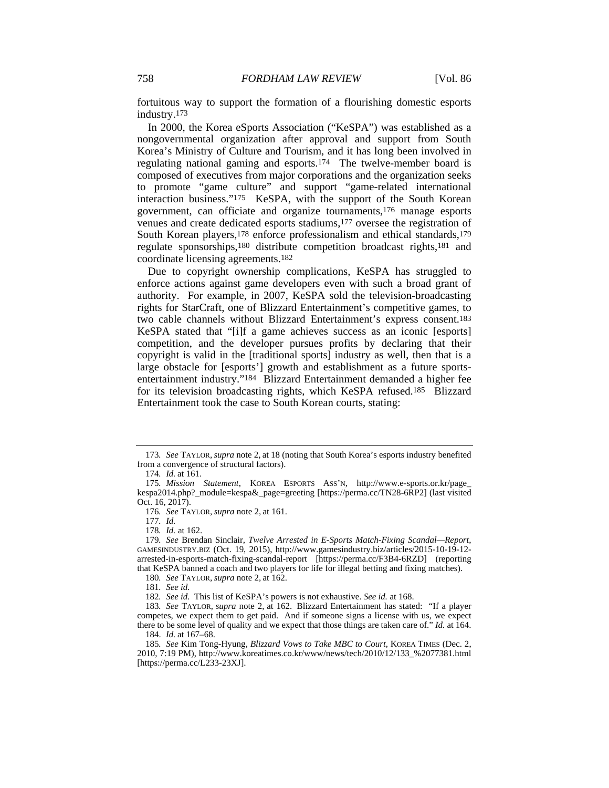fortuitous way to support the formation of a flourishing domestic esports industry.173

In 2000, the Korea eSports Association ("KeSPA") was established as a nongovernmental organization after approval and support from South Korea's Ministry of Culture and Tourism, and it has long been involved in regulating national gaming and esports.174 The twelve-member board is composed of executives from major corporations and the organization seeks to promote "game culture" and support "game-related international interaction business."175 KeSPA, with the support of the South Korean government, can officiate and organize tournaments,176 manage esports venues and create dedicated esports stadiums,177 oversee the registration of South Korean players,178 enforce professionalism and ethical standards,179 regulate sponsorships,180 distribute competition broadcast rights,181 and coordinate licensing agreements.182

Due to copyright ownership complications, KeSPA has struggled to enforce actions against game developers even with such a broad grant of authority. For example, in 2007, KeSPA sold the television-broadcasting rights for StarCraft, one of Blizzard Entertainment's competitive games, to two cable channels without Blizzard Entertainment's express consent.183 KeSPA stated that "[i]f a game achieves success as an iconic [esports] competition, and the developer pursues profits by declaring that their copyright is valid in the [traditional sports] industry as well, then that is a large obstacle for [esports'] growth and establishment as a future sportsentertainment industry."184 Blizzard Entertainment demanded a higher fee for its television broadcasting rights, which KeSPA refused.185 Blizzard Entertainment took the case to South Korean courts, stating:

180*. See* TAYLOR, *supra* note 2, at 162.

<sup>173</sup>*. See* TAYLOR,*supra* note 2, at 18 (noting that South Korea's esports industry benefited from a convergence of structural factors).

<sup>174</sup>*. Id.* at 161.

<sup>175</sup>*. Mission Statement*, KOREA ESPORTS ASS'N, http://www.e-sports.or.kr/page\_ kespa2014.php?\_module=kespa&\_page=greeting [https://perma.cc/TN28-6RP2] (last visited Oct. 16, 2017).

<sup>176</sup>*. See* TAYLOR, *supra* note 2, at 161.

<sup>177</sup>*. Id.*

<sup>178</sup>*. Id.* at 162.

<sup>179</sup>*. See* Brendan Sinclair, *Twelve Arrested in E-Sports Match-Fixing Scandal—Report*, GAMESINDUSTRY.BIZ (Oct. 19, 2015), http://www.gamesindustry.biz/articles/2015-10-19-12 arrested-in-esports-match-fixing-scandal-report [https://perma.cc/F3B4-6RZD] (reporting that KeSPA banned a coach and two players for life for illegal betting and fixing matches).

<sup>181</sup>*. See id.*

<sup>182</sup>*. See id.* This list of KeSPA's powers is not exhaustive. *See id.* at 168.

<sup>183</sup>*. See* TAYLOR, *supra* note 2, at 162. Blizzard Entertainment has stated: "If a player competes, we expect them to get paid. And if someone signs a license with us, we expect there to be some level of quality and we expect that those things are taken care of." *Id.* at 164. 184. *Id.* at 167–68.

<sup>185</sup>*. See* Kim Tong-Hyung, *Blizzard Vows to Take MBC to Court*, KOREA TIMES (Dec. 2, 2010, 7:19 PM), http://www.koreatimes.co.kr/www/news/tech/2010/12/133\_%2077381.html  $[https://perma.cc/L233-23XJ].$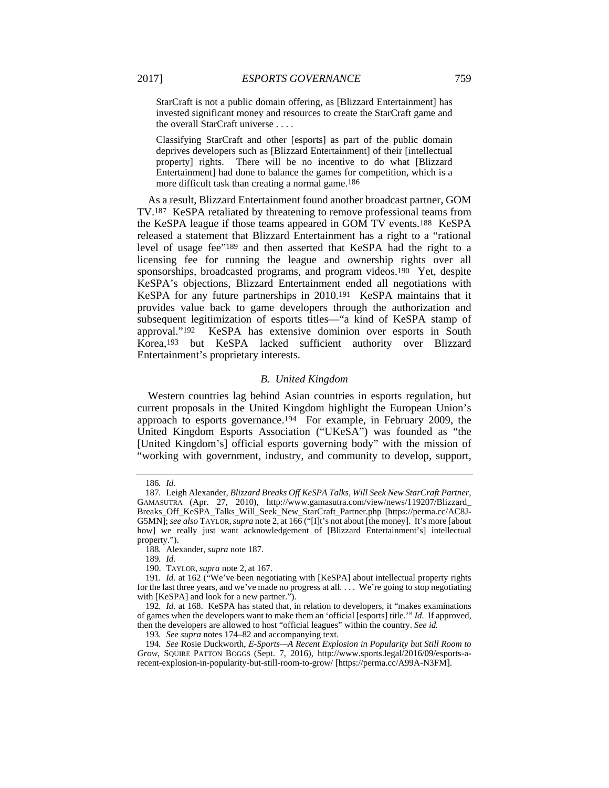StarCraft is not a public domain offering, as [Blizzard Entertainment] has invested significant money and resources to create the StarCraft game and the overall StarCraft universe . . . .

Classifying StarCraft and other [esports] as part of the public domain deprives developers such as [Blizzard Entertainment] of their [intellectual property] rights. There will be no incentive to do what [Blizzard Entertainment] had done to balance the games for competition, which is a more difficult task than creating a normal game.186

As a result, Blizzard Entertainment found another broadcast partner, GOM TV.187 KeSPA retaliated by threatening to remove professional teams from the KeSPA league if those teams appeared in GOM TV events.188 KeSPA released a statement that Blizzard Entertainment has a right to a "rational level of usage fee"189 and then asserted that KeSPA had the right to a licensing fee for running the league and ownership rights over all sponsorships, broadcasted programs, and program videos.190 Yet, despite KeSPA's objections, Blizzard Entertainment ended all negotiations with KeSPA for any future partnerships in 2010.191 KeSPA maintains that it provides value back to game developers through the authorization and subsequent legitimization of esports titles—"a kind of KeSPA stamp of approval."192 KeSPA has extensive dominion over esports in South Korea,193 but KeSPA lacked sufficient authority over Blizzard Entertainment's proprietary interests.

#### *B. United Kingdom*

Western countries lag behind Asian countries in esports regulation, but current proposals in the United Kingdom highlight the European Union's approach to esports governance.194 For example, in February 2009, the United Kingdom Esports Association ("UKeSA") was founded as "the [United Kingdom's] official esports governing body" with the mission of "working with government, industry, and community to develop, support,

<sup>186</sup>*. Id.*

<sup>187</sup>*.* Leigh Alexander, *Blizzard Breaks Off KeSPA Talks, Will Seek New StarCraft Partner*, GAMASUTRA (Apr. 27, 2010), http://www.gamasutra.com/view/news/119207/Blizzard\_ Breaks\_Off\_KeSPA\_Talks\_Will\_Seek\_New\_StarCraft\_Partner.php [https://perma.cc/AC8J-G5MN]; *see also* TAYLOR,*supra* note 2, at 166 ("[I]t's not about [the money]. It's more [about how] we really just want acknowledgement of [Blizzard Entertainment's] intellectual property.").

<sup>188</sup>*.* Alexander, *supra* note 187.

<sup>189</sup>*. Id.*

 <sup>190.</sup> TAYLOR, *supra* note 2, at 167.

<sup>191</sup>*. Id.* at 162 ("We've been negotiating with [KeSPA] about intellectual property rights for the last three years, and we've made no progress at all. . . . We're going to stop negotiating with [KeSPA] and look for a new partner.").

<sup>192</sup>*. Id.* at 168. KeSPA has stated that, in relation to developers, it "makes examinations of games when the developers want to make them an 'official [esports] title.'" *Id.* If approved, then the developers are allowed to host "official leagues" within the country. *See id.*

<sup>193</sup>*. See supra* notes 174–82 and accompanying text.

<sup>194</sup>*. See* Rosie Duckworth, *E-Sports—A Recent Explosion in Popularity but Still Room to Grow*, SQUIRE PATTON BOGGS (Sept. 7, 2016), http://www.sports.legal/2016/09/esports-arecent-explosion-in-popularity-but-still-room-to-grow/ [https://perma.cc/A99A-N3FM].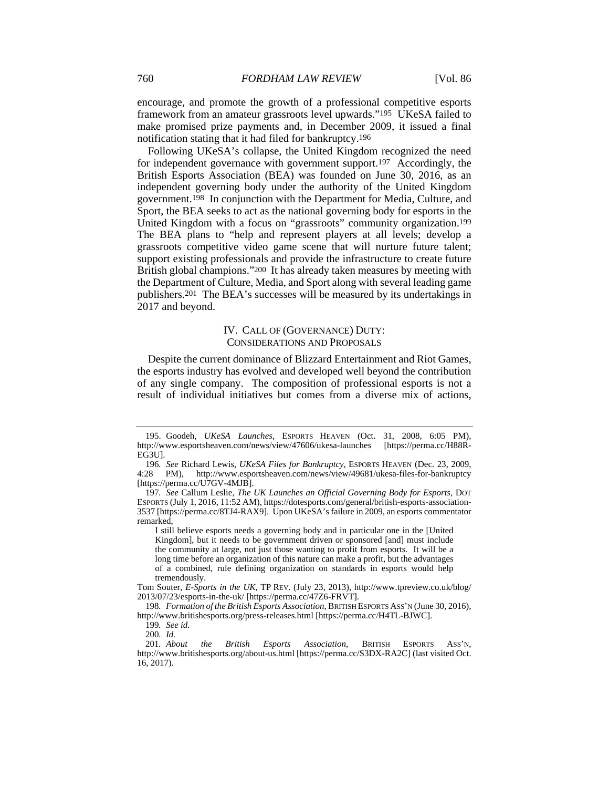encourage, and promote the growth of a professional competitive esports framework from an amateur grassroots level upwards."195 UKeSA failed to make promised prize payments and, in December 2009, it issued a final notification stating that it had filed for bankruptcy.196

Following UKeSA's collapse, the United Kingdom recognized the need for independent governance with government support.197 Accordingly, the British Esports Association (BEA) was founded on June 30, 2016, as an independent governing body under the authority of the United Kingdom government.198 In conjunction with the Department for Media, Culture, and Sport, the BEA seeks to act as the national governing body for esports in the United Kingdom with a focus on "grassroots" community organization.199 The BEA plans to "help and represent players at all levels; develop a grassroots competitive video game scene that will nurture future talent; support existing professionals and provide the infrastructure to create future British global champions."200 It has already taken measures by meeting with the Department of Culture, Media, and Sport along with several leading game publishers.201 The BEA's successes will be measured by its undertakings in 2017 and beyond.

#### IV. CALL OF (GOVERNANCE) DUTY: CONSIDERATIONS AND PROPOSALS

Despite the current dominance of Blizzard Entertainment and Riot Games, the esports industry has evolved and developed well beyond the contribution of any single company. The composition of professional esports is not a result of individual initiatives but comes from a diverse mix of actions,

 <sup>195.</sup> Goodeh, *UKeSA Launches*, ESPORTS HEAVEN (Oct. 31, 2008, 6:05 PM), http://www.esportsheaven.com/news/view/47606/ukesa-launches [https://perma.cc/H88R-EG3U].

<sup>196</sup>*. See* Richard Lewis, *UKeSA Files for Bankruptcy*, ESPORTS HEAVEN (Dec. 23, 2009, 4:28 PM), http://www.esportsheaven.com/news/view/49681/ukesa-files-for-bankruptcy [https://perma.cc/U7GV-4MJB].

<sup>197</sup>*. See* Callum Leslie, *The UK Launches an Official Governing Body for Esports*, DOT ESPORTS (July 1, 2016, 11:52 AM), https://dotesports.com/general/british-esports-association-3537 [https://perma.cc/8TJ4-RAX9]. Upon UKeSA's failure in 2009, an esports commentator remarked,

I still believe esports needs a governing body and in particular one in the [United Kingdom], but it needs to be government driven or sponsored [and] must include the community at large, not just those wanting to profit from esports. It will be a long time before an organization of this nature can make a profit, but the advantages of a combined, rule defining organization on standards in esports would help tremendously.

Tom Souter, *E-Sports in the UK*, TP REV. (July 23, 2013), http://www.tpreview.co.uk/blog/ 2013/07/23/esports-in-the-uk/ [https://perma.cc/47Z6-FRVT].

<sup>198</sup>*. Formation of the British Esports Association*, BRITISH ESPORTS ASS'N (June 30, 2016), http://www.britishesports.org/press-releases.html [https://perma.cc/H4TL-BJWC].

<sup>199</sup>*. See id.*

<sup>200</sup>*. Id.*

<sup>201</sup>*. About the British Esports Association*, BRITISH ESPORTS ASS'N, http://www.britishesports.org/about-us.html [https://perma.cc/S3DX-RA2C] (last visited Oct. 16, 2017).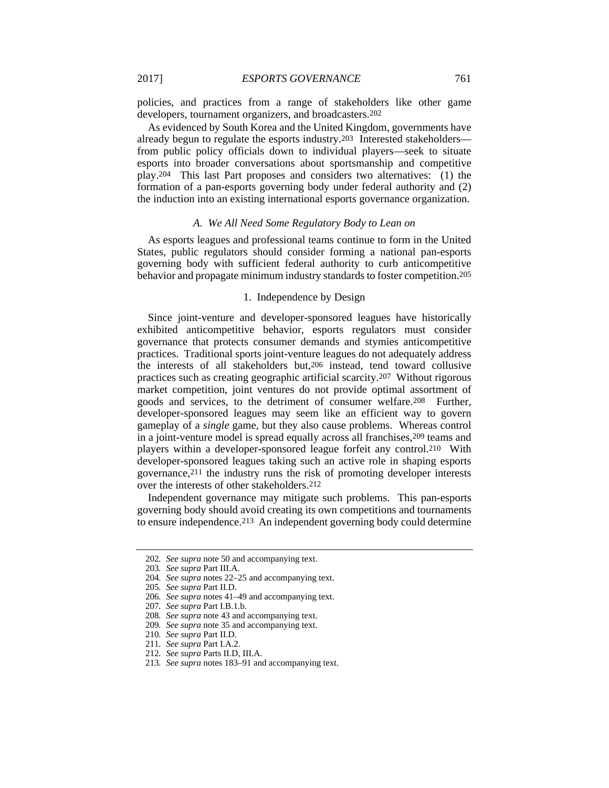policies, and practices from a range of stakeholders like other game developers, tournament organizers, and broadcasters.202

As evidenced by South Korea and the United Kingdom, governments have already begun to regulate the esports industry.203 Interested stakeholders from public policy officials down to individual players—seek to situate esports into broader conversations about sportsmanship and competitive play.204 This last Part proposes and considers two alternatives: (1) the formation of a pan-esports governing body under federal authority and (2) the induction into an existing international esports governance organization.

#### *A. We All Need Some Regulatory Body to Lean on*

As esports leagues and professional teams continue to form in the United States, public regulators should consider forming a national pan-esports governing body with sufficient federal authority to curb anticompetitive behavior and propagate minimum industry standards to foster competition.205

#### 1. Independence by Design

Since joint-venture and developer-sponsored leagues have historically exhibited anticompetitive behavior, esports regulators must consider governance that protects consumer demands and stymies anticompetitive practices. Traditional sports joint-venture leagues do not adequately address the interests of all stakeholders but,206 instead, tend toward collusive practices such as creating geographic artificial scarcity.207 Without rigorous market competition, joint ventures do not provide optimal assortment of goods and services, to the detriment of consumer welfare.208 Further, developer-sponsored leagues may seem like an efficient way to govern gameplay of a *single* game, but they also cause problems. Whereas control in a joint-venture model is spread equally across all franchises,209 teams and players within a developer-sponsored league forfeit any control.210 With developer-sponsored leagues taking such an active role in shaping esports governance,211 the industry runs the risk of promoting developer interests over the interests of other stakeholders.212

Independent governance may mitigate such problems. This pan-esports governing body should avoid creating its own competitions and tournaments to ensure independence.213 An independent governing body could determine

<sup>202</sup>*. See supra* note 50 and accompanying text.

<sup>203</sup>*. See supra* Part III.A.

<sup>204</sup>*. See supra* notes 22–25 and accompanying text.

<sup>205</sup>*. See supra* Part II.D.

<sup>206</sup>*. See supra* notes 41–49 and accompanying text.

<sup>207</sup>*. See supra* Part I.B.1.b.

<sup>208</sup>*. See supra* note 43 and accompanying text.

<sup>209</sup>*. See supra* note 35 and accompanying text.

<sup>210</sup>*. See supra* Part II.D.

<sup>211</sup>*. See supra* Part I.A.2.

<sup>212</sup>*. See supra* Parts II.D, III.A.

<sup>213</sup>*. See supra* notes 183–91 and accompanying text.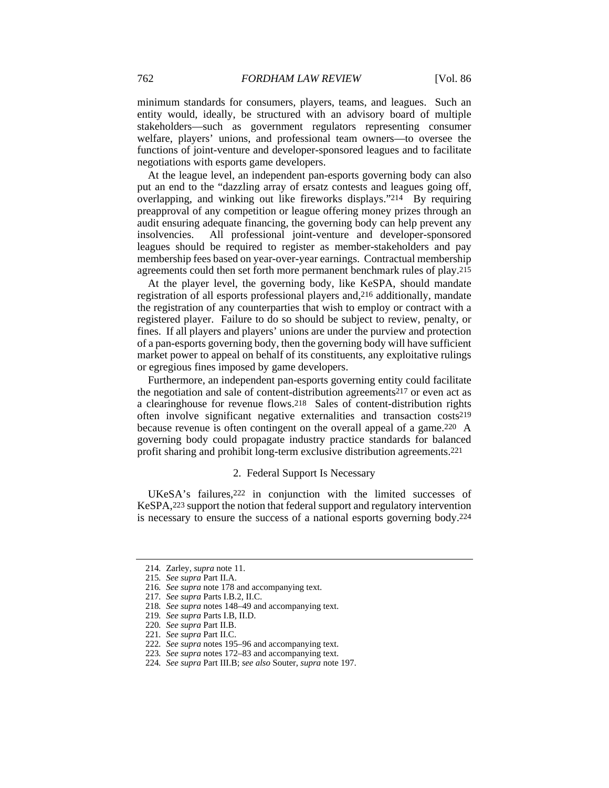minimum standards for consumers, players, teams, and leagues. Such an entity would, ideally, be structured with an advisory board of multiple stakeholders—such as government regulators representing consumer welfare, players' unions, and professional team owners—to oversee the functions of joint-venture and developer-sponsored leagues and to facilitate negotiations with esports game developers.

At the league level, an independent pan-esports governing body can also put an end to the "dazzling array of ersatz contests and leagues going off, overlapping, and winking out like fireworks displays."214 By requiring preapproval of any competition or league offering money prizes through an audit ensuring adequate financing, the governing body can help prevent any insolvencies. All professional joint-venture and developer-sponsored leagues should be required to register as member-stakeholders and pay membership fees based on year-over-year earnings. Contractual membership agreements could then set forth more permanent benchmark rules of play.215

At the player level, the governing body, like KeSPA, should mandate registration of all esports professional players and,216 additionally, mandate the registration of any counterparties that wish to employ or contract with a registered player. Failure to do so should be subject to review, penalty, or fines. If all players and players' unions are under the purview and protection of a pan-esports governing body, then the governing body will have sufficient market power to appeal on behalf of its constituents, any exploitative rulings or egregious fines imposed by game developers.

Furthermore, an independent pan-esports governing entity could facilitate the negotiation and sale of content-distribution agreements217 or even act as a clearinghouse for revenue flows.218 Sales of content-distribution rights often involve significant negative externalities and transaction costs219 because revenue is often contingent on the overall appeal of a game.220 A governing body could propagate industry practice standards for balanced profit sharing and prohibit long-term exclusive distribution agreements.221

#### 2. Federal Support Is Necessary

UKeSA's failures,<sup>222</sup> in conjunction with the limited successes of KeSPA,223 support the notion that federal support and regulatory intervention is necessary to ensure the success of a national esports governing body.224

<sup>214</sup>*.* Zarley, *supra* note 11.

<sup>215</sup>*. See supra* Part II.A.

<sup>216</sup>*. See supra* note 178 and accompanying text.

<sup>217</sup>*. See supra* Parts I.B.2, II.C.

<sup>218</sup>*. See supra* notes 148–49 and accompanying text.

<sup>219</sup>*. See supra* Parts I.B, II.D.

<sup>220</sup>*. See supra* Part II.B.

<sup>221</sup>*. See supra* Part II.C.

<sup>222</sup>*. See supra* notes 195–96 and accompanying text.

<sup>223</sup>*. See supra* notes 172–83 and accompanying text.

<sup>224</sup>*. See supra* Part III.B; *see also* Souter, *supra* note 197.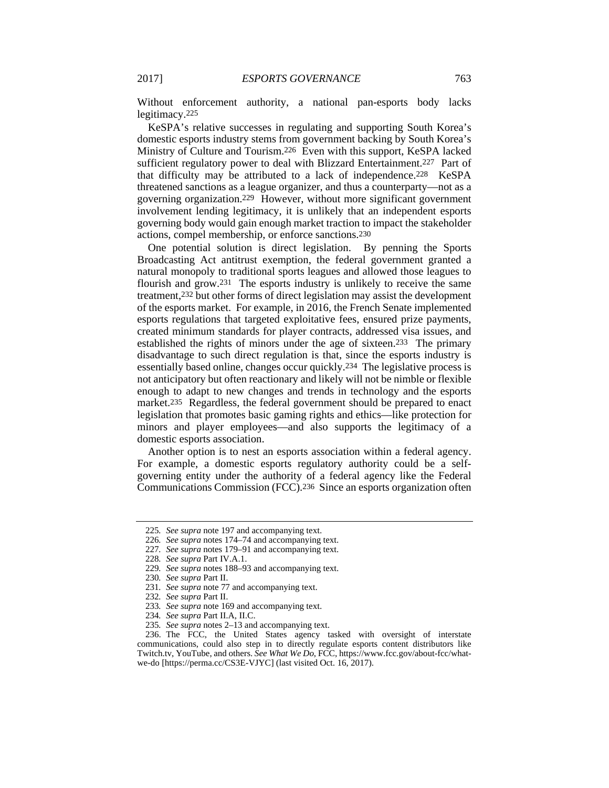Without enforcement authority, a national pan-esports body lacks legitimacy.225

KeSPA's relative successes in regulating and supporting South Korea's domestic esports industry stems from government backing by South Korea's Ministry of Culture and Tourism.226 Even with this support, KeSPA lacked sufficient regulatory power to deal with Blizzard Entertainment.227 Part of that difficulty may be attributed to a lack of independence.228 KeSPA threatened sanctions as a league organizer, and thus a counterparty—not as a governing organization.229 However, without more significant government involvement lending legitimacy, it is unlikely that an independent esports governing body would gain enough market traction to impact the stakeholder actions, compel membership, or enforce sanctions.230

One potential solution is direct legislation. By penning the Sports Broadcasting Act antitrust exemption, the federal government granted a natural monopoly to traditional sports leagues and allowed those leagues to flourish and grow.231 The esports industry is unlikely to receive the same treatment,232 but other forms of direct legislation may assist the development of the esports market. For example, in 2016, the French Senate implemented esports regulations that targeted exploitative fees, ensured prize payments, created minimum standards for player contracts, addressed visa issues, and established the rights of minors under the age of sixteen.233 The primary disadvantage to such direct regulation is that, since the esports industry is essentially based online, changes occur quickly.234 The legislative process is not anticipatory but often reactionary and likely will not be nimble or flexible enough to adapt to new changes and trends in technology and the esports market.235 Regardless, the federal government should be prepared to enact legislation that promotes basic gaming rights and ethics—like protection for minors and player employees—and also supports the legitimacy of a domestic esports association.

Another option is to nest an esports association within a federal agency. For example, a domestic esports regulatory authority could be a selfgoverning entity under the authority of a federal agency like the Federal Communications Commission (FCC).236 Since an esports organization often

- 226*. See supra* notes 174–74 and accompanying text.
- 227*. See supra* notes 179–91 and accompanying text.

<sup>225</sup>*. See supra* note 197 and accompanying text.

<sup>228</sup>*. See supra* Part IV.A.1.

<sup>229</sup>*. See supra* notes 188–93 and accompanying text.

<sup>230</sup>*. See supra* Part II.

<sup>231</sup>*. See supra* note 77 and accompanying text.

<sup>232</sup>*. See supra* Part II.

<sup>233</sup>*. See supra* note 169 and accompanying text.

<sup>234</sup>*. See supra* Part II.A, II.C.

<sup>235</sup>*. See supra* notes 2–13 and accompanying text.

 <sup>236.</sup> The FCC, the United States agency tasked with oversight of interstate communications, could also step in to directly regulate esports content distributors like Twitch.tv, YouTube, and others. *See What We Do*, FCC, https://www.fcc.gov/about-fcc/whatwe-do [https://perma.cc/CS3E-VJYC] (last visited Oct. 16, 2017).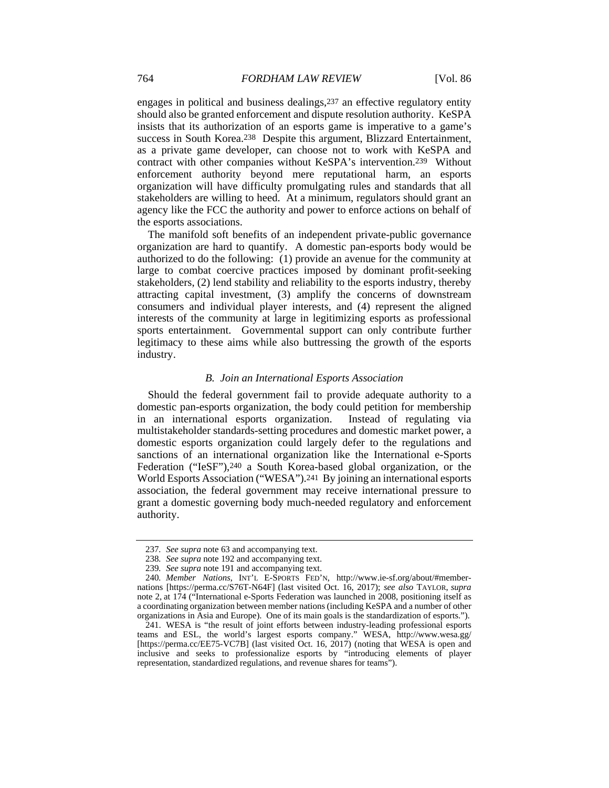engages in political and business dealings,237 an effective regulatory entity should also be granted enforcement and dispute resolution authority. KeSPA insists that its authorization of an esports game is imperative to a game's success in South Korea.238 Despite this argument, Blizzard Entertainment, as a private game developer, can choose not to work with KeSPA and contract with other companies without KeSPA's intervention.239 Without enforcement authority beyond mere reputational harm, an esports organization will have difficulty promulgating rules and standards that all stakeholders are willing to heed. At a minimum, regulators should grant an agency like the FCC the authority and power to enforce actions on behalf of the esports associations.

The manifold soft benefits of an independent private-public governance organization are hard to quantify. A domestic pan-esports body would be authorized to do the following: (1) provide an avenue for the community at large to combat coercive practices imposed by dominant profit-seeking stakeholders, (2) lend stability and reliability to the esports industry, thereby attracting capital investment, (3) amplify the concerns of downstream consumers and individual player interests, and (4) represent the aligned interests of the community at large in legitimizing esports as professional sports entertainment. Governmental support can only contribute further legitimacy to these aims while also buttressing the growth of the esports industry.

#### *B. Join an International Esports Association*

Should the federal government fail to provide adequate authority to a domestic pan-esports organization, the body could petition for membership in an international esports organization. Instead of regulating via multistakeholder standards-setting procedures and domestic market power, a domestic esports organization could largely defer to the regulations and sanctions of an international organization like the International e-Sports Federation ("IeSF"),240 a South Korea-based global organization, or the World Esports Association ("WESA").241 By joining an international esports association, the federal government may receive international pressure to grant a domestic governing body much-needed regulatory and enforcement authority.

<sup>237</sup>*. See supra* note 63 and accompanying text.

<sup>238</sup>*. See supra* note 192 and accompanying text.

<sup>239</sup>*. See supra* note 191 and accompanying text.

<sup>240</sup>*. Member Nations*, INT'L E-SPORTS FED'N, http://www.ie-sf.org/about/#membernations [https://perma.cc/S76T-N64F] (last visited Oct. 16, 2017); *see also* TAYLOR, *supra* note 2, at 174 ("International e-Sports Federation was launched in 2008, positioning itself as a coordinating organization between member nations (including KeSPA and a number of other organizations in Asia and Europe). One of its main goals is the standardization of esports.").

 <sup>241.</sup> WESA is "the result of joint efforts between industry-leading professional esports teams and ESL, the world's largest esports company." WESA, http://www.wesa.gg/ [https://perma.cc/EE75-VC7B] (last visited Oct. 16, 2017) (noting that WESA is open and inclusive and seeks to professionalize esports by "introducing elements of player representation, standardized regulations, and revenue shares for teams").